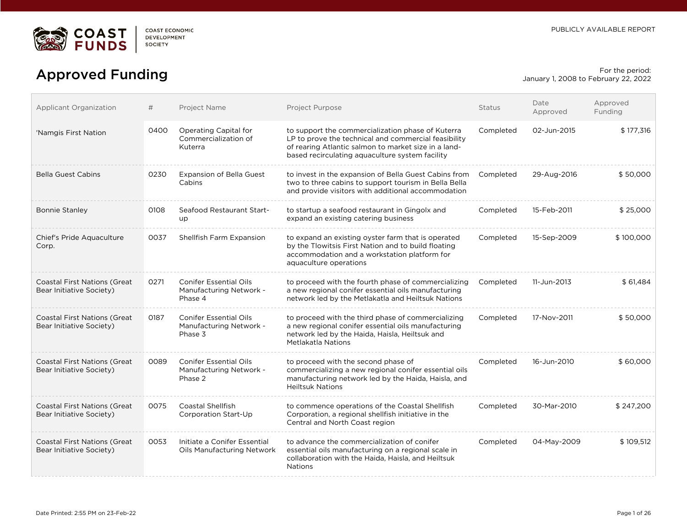

# For the period:<br> **Approved Funding** For the period: Expansion of the period: Expansion of the period:

January 1, 2008 to February 22, 2022

| Applicant Organization                                          | #    | Project Name                                                        | Project Purpose                                                                                                                                                                                                      | <b>Status</b> | Date<br>Approved | Approved<br>Funding |
|-----------------------------------------------------------------|------|---------------------------------------------------------------------|----------------------------------------------------------------------------------------------------------------------------------------------------------------------------------------------------------------------|---------------|------------------|---------------------|
| 'Namgis First Nation                                            | 0400 | Operating Capital for<br>Commercialization of<br>Kuterra            | to support the commercialization phase of Kuterra<br>LP to prove the technical and commercial feasibility<br>of rearing Atlantic salmon to market size in a land-<br>based recirculating aquaculture system facility | Completed     | 02-Jun-2015      | \$177,316           |
| <b>Bella Guest Cabins</b>                                       | 0230 | <b>Expansion of Bella Guest</b><br>Cabins                           | to invest in the expansion of Bella Guest Cabins from<br>two to three cabins to support tourism in Bella Bella<br>and provide visitors with additional accommodation                                                 | Completed     | 29-Aug-2016      | \$50,000            |
| <b>Bonnie Stanley</b>                                           | 0108 | Seafood Restaurant Start-<br>up                                     | to startup a seafood restaurant in Gingolx and<br>expand an existing catering business                                                                                                                               | Completed     | 15-Feb-2011      | \$25,000            |
| Chief's Pride Aquaculture<br>Corp.                              | 0037 | Shellfish Farm Expansion                                            | to expand an existing oyster farm that is operated<br>by the Tlowitsis First Nation and to build floating<br>accommodation and a workstation platform for<br>aquaculture operations                                  | Completed     | 15-Sep-2009      | \$100.000           |
| <b>Coastal First Nations (Great</b><br>Bear Initiative Society) | 0271 | <b>Conifer Essential Oils</b><br>Manufacturing Network -<br>Phase 4 | to proceed with the fourth phase of commercializing<br>a new regional conifer essential oils manufacturing<br>network led by the Metlakatla and Heiltsuk Nations                                                     | Completed     | 11-Jun-2013      | \$61,484            |
| <b>Coastal First Nations (Great</b><br>Bear Initiative Society) | 0187 | <b>Conifer Essential Oils</b><br>Manufacturing Network -<br>Phase 3 | to proceed with the third phase of commercializing<br>a new regional conifer essential oils manufacturing<br>network led by the Haida, Haisla, Heiltsuk and<br><b>Metlakatla Nations</b>                             | Completed     | 17-Nov-2011      | \$50,000            |
| <b>Coastal First Nations (Great</b><br>Bear Initiative Society) | 0089 | <b>Conifer Essential Oils</b><br>Manufacturing Network -<br>Phase 2 | to proceed with the second phase of<br>commercializing a new regional conifer essential oils<br>manufacturing network led by the Haida, Haisla, and<br><b>Heiltsuk Nations</b>                                       | Completed     | 16-Jun-2010      | \$60,000            |
| <b>Coastal First Nations (Great</b><br>Bear Initiative Society) | 0075 | <b>Coastal Shellfish</b><br>Corporation Start-Up                    | to commence operations of the Coastal Shellfish<br>Corporation, a regional shellfish initiative in the<br>Central and North Coast region                                                                             | Completed     | 30-Mar-2010      | \$247.200           |
| <b>Coastal First Nations (Great</b><br>Bear Initiative Society) | 0053 | Initiate a Conifer Essential<br>Oils Manufacturing Network          | to advance the commercialization of conifer<br>essential oils manufacturing on a regional scale in<br>collaboration with the Haida, Haisla, and Heiltsuk<br><b>Nations</b>                                           | Completed     | 04-May-2009      | \$109,512           |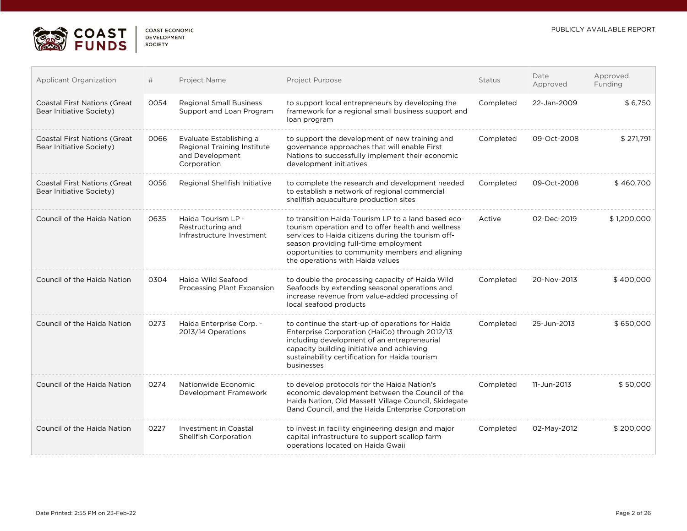

| Applicant Organization                                           | #    | Project Name                                                                             | Project Purpose                                                                                                                                                                                                                                                                                 | <b>Status</b> | Date<br>Approved | Approved<br>Funding |
|------------------------------------------------------------------|------|------------------------------------------------------------------------------------------|-------------------------------------------------------------------------------------------------------------------------------------------------------------------------------------------------------------------------------------------------------------------------------------------------|---------------|------------------|---------------------|
| <b>Coastal First Nations (Great</b><br>Bear Initiative Society)  | 0054 | <b>Regional Small Business</b><br>Support and Loan Program                               | to support local entrepreneurs by developing the<br>framework for a regional small business support and<br>loan program                                                                                                                                                                         | Completed     | 22-Jan-2009      | \$6,750             |
| <b>Coastal First Nations (Great)</b><br>Bear Initiative Society) | 0066 | Evaluate Establishing a<br>Regional Training Institute<br>and Development<br>Corporation | to support the development of new training and<br>governance approaches that will enable First<br>Nations to successfully implement their economic<br>development initiatives                                                                                                                   | Completed     | 09-Oct-2008      | \$271.791           |
| <b>Coastal First Nations (Great</b><br>Bear Initiative Society)  | 0056 | Regional Shellfish Initiative                                                            | to complete the research and development needed<br>to establish a network of regional commercial<br>shellfish aquaculture production sites                                                                                                                                                      | Completed     | 09-Oct-2008      | \$460,700           |
| Council of the Haida Nation                                      | 0635 | Haida Tourism LP -<br>Restructuring and<br>Infrastructure Investment                     | to transition Haida Tourism LP to a land based eco-<br>tourism operation and to offer health and wellness<br>services to Haida citizens during the tourism off-<br>season providing full-time employment<br>opportunities to community members and aligning<br>the operations with Haida values | Active        | 02-Dec-2019      | \$1,200,000         |
| Council of the Haida Nation                                      | 0304 | Haida Wild Seafood<br>Processing Plant Expansion                                         | to double the processing capacity of Haida Wild<br>Seafoods by extending seasonal operations and<br>increase revenue from value-added processing of<br>local seafood products                                                                                                                   | Completed     | 20-Nov-2013      | \$400,000           |
| Council of the Haida Nation                                      | 0273 | Haida Enterprise Corp. -<br>2013/14 Operations                                           | to continue the start-up of operations for Haida<br>Enterprise Corporation (HaiCo) through 2012/13<br>including development of an entrepreneurial<br>capacity building initiative and achieving<br>sustainability certification for Haida tourism<br>businesses                                 | Completed     | 25-Jun-2013      | \$650,000           |
| Council of the Haida Nation                                      | 0274 | Nationwide Economic<br>Development Framework                                             | to develop protocols for the Haida Nation's<br>economic development between the Council of the<br>Haida Nation, Old Massett Village Council, Skidegate<br>Band Council, and the Haida Enterprise Corporation                                                                                    | Completed     | 11-Jun-2013      | \$50,000            |
| Council of the Haida Nation                                      | 0227 | Investment in Coastal<br><b>Shellfish Corporation</b>                                    | to invest in facility engineering design and major<br>capital infrastructure to support scallop farm<br>operations located on Haida Gwaii                                                                                                                                                       | Completed     | 02-May-2012      | \$200,000           |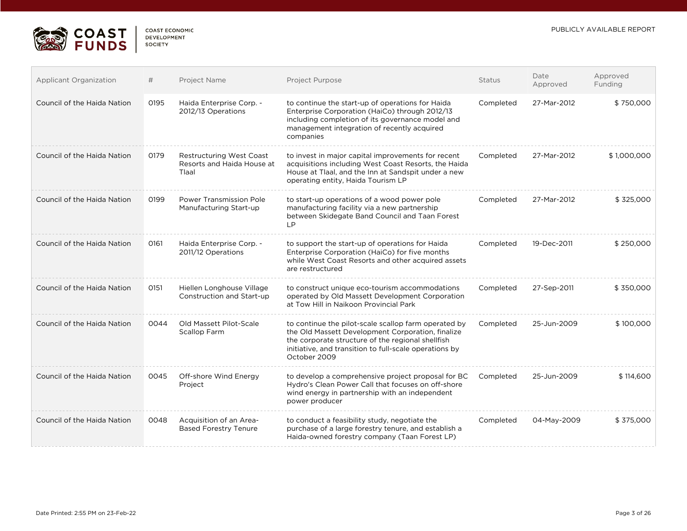

| COAST FCONOMIC     |  |
|--------------------|--|
| <b>DEVELOPMENT</b> |  |
| <b>SOCIETY</b>     |  |

| Applicant Organization      | #    | Project Name                                                           | <b>Project Purpose</b>                                                                                                                                                                                                                   | <b>Status</b> | Date<br>Approved | Approved<br>Funding |
|-----------------------------|------|------------------------------------------------------------------------|------------------------------------------------------------------------------------------------------------------------------------------------------------------------------------------------------------------------------------------|---------------|------------------|---------------------|
| Council of the Haida Nation | 0195 | Haida Enterprise Corp. -<br>2012/13 Operations                         | to continue the start-up of operations for Haida<br>Enterprise Corporation (HaiCo) through 2012/13<br>including completion of its governance model and<br>management integration of recently acquired<br>companies                       | Completed     | 27-Mar-2012      | \$750,000           |
| Council of the Haida Nation | 0179 | <b>Restructuring West Coast</b><br>Resorts and Haida House at<br>Tlaal | to invest in major capital improvements for recent<br>acquisitions including West Coast Resorts, the Haida<br>House at Tlaal, and the Inn at Sandspit under a new<br>operating entity, Haida Tourism LP                                  | Completed     | 27-Mar-2012      | \$1,000,000         |
| Council of the Haida Nation | 0199 | Power Transmission Pole<br>Manufacturing Start-up                      | to start-up operations of a wood power pole<br>manufacturing facility via a new partnership<br>between Skidegate Band Council and Taan Forest<br><b>LP</b>                                                                               | Completed     | 27-Mar-2012      | \$325,000           |
| Council of the Haida Nation | 0161 | Haida Enterprise Corp. -<br>2011/12 Operations                         | to support the start-up of operations for Haida<br>Enterprise Corporation (HaiCo) for five months<br>while West Coast Resorts and other acquired assets<br>are restructured                                                              | Completed     | 19-Dec-2011      | \$250,000           |
| Council of the Haida Nation | 0151 | Hiellen Longhouse Village<br>Construction and Start-up                 | to construct unique eco-tourism accommodations<br>operated by Old Massett Development Corporation<br>at Tow Hill in Naikoon Provincial Park                                                                                              | Completed     | 27-Sep-2011      | \$350,000           |
| Council of the Haida Nation | 0044 | Old Massett Pilot-Scale<br><b>Scallop Farm</b>                         | to continue the pilot-scale scallop farm operated by<br>the Old Massett Development Corporation, finalize<br>the corporate structure of the regional shellfish<br>initiative, and transition to full-scale operations by<br>October 2009 | Completed     | 25-Jun-2009      | \$100,000           |
| Council of the Haida Nation | 0045 | Off-shore Wind Energy<br>Project                                       | to develop a comprehensive project proposal for BC<br>Hydro's Clean Power Call that focuses on off-shore<br>wind energy in partnership with an independent<br>power producer                                                             | Completed     | 25-Jun-2009      | \$114,600           |
| Council of the Haida Nation | 0048 | Acquisition of an Area-<br><b>Based Forestry Tenure</b>                | to conduct a feasibility study, negotiate the<br>purchase of a large forestry tenure, and establish a<br>Haida-owned forestry company (Taan Forest LP)                                                                                   | Completed     | 04-May-2009      | \$375,000           |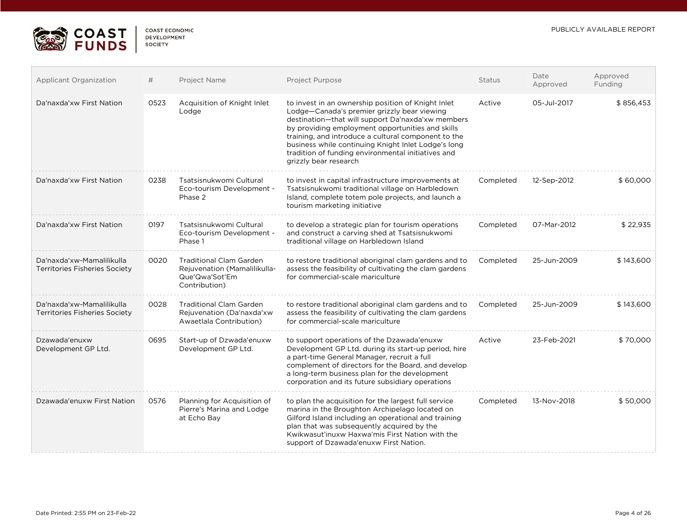

| COAST FCONOMIC |  |
|----------------|--|
| DEVELOPMENT    |  |
| SOCIETY        |  |

| <b>Applicant Organization</b>                                     | #    | Project Name                                                                                      | Project Purpose                                                                                                                                                                                                                                                                                                                                                                                         | <b>Status</b> | Date<br>Approved | Approved<br>Funding |
|-------------------------------------------------------------------|------|---------------------------------------------------------------------------------------------------|---------------------------------------------------------------------------------------------------------------------------------------------------------------------------------------------------------------------------------------------------------------------------------------------------------------------------------------------------------------------------------------------------------|---------------|------------------|---------------------|
| Da'naxda'xw First Nation                                          | 0523 | Acquisition of Knight Inlet<br>Lodge                                                              | to invest in an ownership position of Knight Inlet<br>Lodge-Canada's premier grizzly bear viewing<br>destination-that will support Da'naxda'xw members<br>by providing employment opportunities and skills<br>training, and introduce a cultural component to the<br>business while continuing Knight Inlet Lodge's long<br>tradition of funding environmental initiatives and<br>grizzly bear research | Active        | 05-Jul-2017      | \$856,453           |
| Da'naxda'xw First Nation                                          | 0238 | Tsatsisnukwomi Cultural<br>Eco-tourism Development -<br>Phase 2                                   | to invest in capital infrastructure improvements at<br>Tsatsisnukwomi traditional village on Harbledown<br>Island, complete totem pole projects, and launch a<br>tourism marketing initiative                                                                                                                                                                                                           | Completed     | 12-Sep-2012      | \$60,000            |
| Da'naxda'xw First Nation                                          | 0197 | Tsatsisnukwomi Cultural<br>Eco-tourism Development -<br>Phase 1                                   | to develop a strategic plan for tourism operations<br>and construct a carving shed at Tsatsisnukwomi<br>traditional village on Harbledown Island                                                                                                                                                                                                                                                        | Completed     | 07-Mar-2012      | \$22,935            |
| Da'naxda'xw-Mamalilikulla<br><b>Territories Fisheries Society</b> | 0020 | <b>Traditional Clam Garden</b><br>Rejuvenation (Mamalilikulla-<br>Que'Qwa'Sot'Em<br>Contribution) | to restore traditional aboriginal clam gardens and to<br>assess the feasibility of cultivating the clam gardens<br>for commercial-scale mariculture                                                                                                                                                                                                                                                     | Completed     | 25-Jun-2009      | \$143,600           |
| Da'naxda'xw-Mamalilikulla<br><b>Territories Fisheries Society</b> | 0028 | <b>Traditional Clam Garden</b><br>Rejuvenation (Da'naxda'xw<br>Awaetlala Contribution)            | to restore traditional aboriginal clam gardens and to<br>assess the feasibility of cultivating the clam gardens<br>for commercial-scale mariculture                                                                                                                                                                                                                                                     | Completed     | 25-Jun-2009      | \$143,600           |
| Dzawada'enuxw<br>Development GP Ltd.                              | 0695 | Start-up of Dzwada'enuxw<br>Development GP Ltd.                                                   | to support operations of the Dzawada'enuxw<br>Development GP Ltd. during its start-up period, hire<br>a part-time General Manager, recruit a full<br>complement of directors for the Board, and develop<br>a long-term business plan for the development<br>corporation and its future subsidiary operations                                                                                            | Active        | 23-Feb-2021      | \$70,000            |
| Dzawada'enuxw First Nation                                        | 0576 | Planning for Acquisition of<br>Pierre's Marina and Lodge<br>at Echo Bay                           | to plan the acquisition for the largest full service<br>marina in the Broughton Archipelago located on<br>Gilford Island including an operational and training<br>plan that was subsequently acquired by the<br>Kwikwasut'inuxw Haxwa'mis First Nation with the<br>support of Dzawada'enuxw First Nation.                                                                                               | Completed     | 13-Nov-2018      | \$50,000            |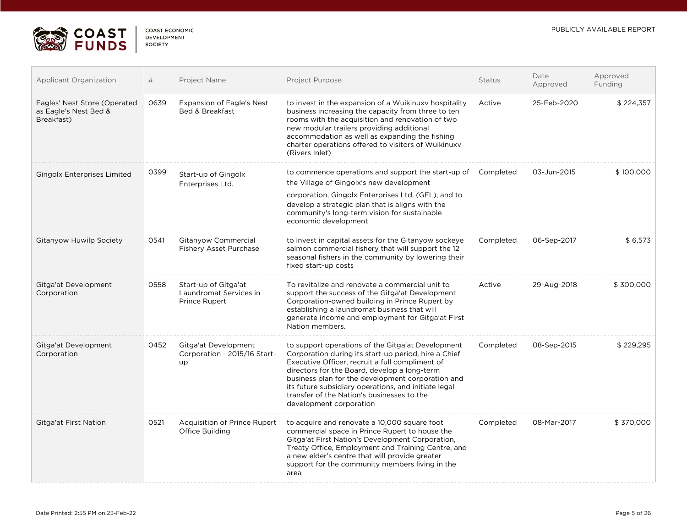

| <b>Applicant Organization</b>                                       | #    | Project Name                                                    | Project Purpose                                                                                                                                                                                                                                                                                                                                                                                    | Status    | Date<br>Approved | Approved<br>Funding |
|---------------------------------------------------------------------|------|-----------------------------------------------------------------|----------------------------------------------------------------------------------------------------------------------------------------------------------------------------------------------------------------------------------------------------------------------------------------------------------------------------------------------------------------------------------------------------|-----------|------------------|---------------------|
| Eagles' Nest Store (Operated<br>as Eagle's Nest Bed &<br>Breakfast) | 0639 | Expansion of Eagle's Nest<br>Bed & Breakfast                    | to invest in the expansion of a Wuikinuxy hospitality<br>business increasing the capacity from three to ten<br>rooms with the acquisition and renovation of two<br>new modular trailers providing additional<br>accommodation as well as expanding the fishing<br>charter operations offered to visitors of Wuikinuxy<br>(Rivers Inlet)                                                            | Active    | 25-Feb-2020      | \$224,357           |
| <b>Gingolx Enterprises Limited</b>                                  | 0399 | Start-up of Gingolx<br>Enterprises Ltd.                         | to commence operations and support the start-up of Completed<br>the Village of Gingolx's new development<br>corporation, Gingolx Enterprises Ltd. (GEL), and to<br>develop a strategic plan that is aligns with the<br>community's long-term vision for sustainable<br>economic development                                                                                                        |           | 03-Jun-2015      | \$100,000           |
| Gitanyow Huwilp Society                                             | 0541 | Gitanyow Commercial<br><b>Fishery Asset Purchase</b>            | to invest in capital assets for the Gitanyow sockeye<br>salmon commercial fishery that will support the 12<br>seasonal fishers in the community by lowering their<br>fixed start-up costs                                                                                                                                                                                                          | Completed | 06-Sep-2017      | \$6,573             |
| Gitga'at Development<br>Corporation                                 | 0558 | Start-up of Gitga'at<br>Laundromat Services in<br>Prince Rupert | To revitalize and renovate a commercial unit to<br>support the success of the Gitga'at Development<br>Corporation-owned building in Prince Rupert by<br>establishing a laundromat business that will<br>generate income and employment for Gitga'at First<br>Nation members.                                                                                                                       | Active    | 29-Aug-2018      | \$300,000           |
| Gitga'at Development<br>Corporation                                 | 0452 | Gitga'at Development<br>Corporation - 2015/16 Start-<br>up      | to support operations of the Gitga'at Development<br>Corporation during its start-up period, hire a Chief<br>Executive Officer, recruit a full compliment of<br>directors for the Board, develop a long-term<br>business plan for the development corporation and<br>its future subsidiary operations, and initiate legal<br>transfer of the Nation's businesses to the<br>development corporation | Completed | 08-Sep-2015      | \$229,295           |
| Gitga'at First Nation                                               | 0521 | Acquisition of Prince Rupert<br>Office Building                 | to acquire and renovate a 10,000 square foot<br>commercial space in Prince Rupert to house the<br>Gitga'at First Nation's Development Corporation,<br>Treaty Office, Employment and Training Centre, and<br>a new elder's centre that will provide greater<br>support for the community members living in the<br>area                                                                              | Completed | 08-Mar-2017      | \$370,000           |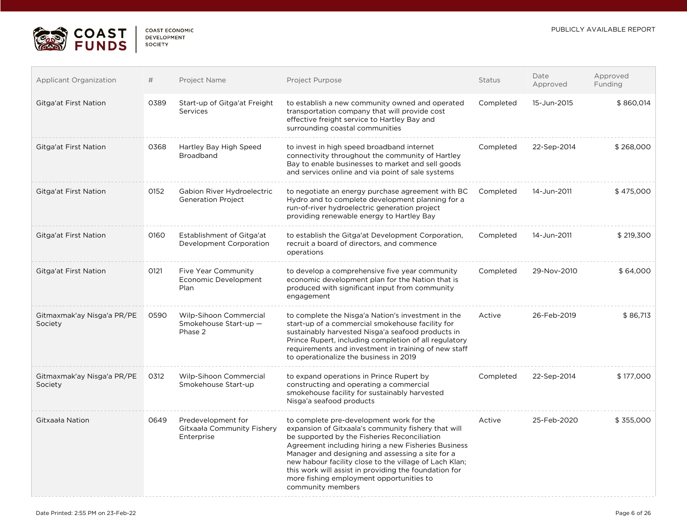

| <b>COAST ECONOMIC</b> |  |
|-----------------------|--|
| <b>DEVELOPMENT</b>    |  |
| <b>SOCIETY</b>        |  |

| <b>Applicant Organization</b>         | #    | Project Name                                                   | Project Purpose                                                                                                                                                                                                                                                                                                                                                                                                                                | Status    | Date<br>Approved | Approved<br>Funding |
|---------------------------------------|------|----------------------------------------------------------------|------------------------------------------------------------------------------------------------------------------------------------------------------------------------------------------------------------------------------------------------------------------------------------------------------------------------------------------------------------------------------------------------------------------------------------------------|-----------|------------------|---------------------|
| Gitga'at First Nation                 | 0389 | Start-up of Gitga'at Freight<br>Services                       | to establish a new community owned and operated<br>transportation company that will provide cost<br>effective freight service to Hartley Bay and<br>surrounding coastal communities                                                                                                                                                                                                                                                            | Completed | 15-Jun-2015      | \$860,014           |
| Gitga'at First Nation                 | 0368 | Hartley Bay High Speed<br><b>Broadband</b>                     | to invest in high speed broadband internet<br>connectivity throughout the community of Hartley<br>Bay to enable businesses to market and sell goods<br>and services online and via point of sale systems                                                                                                                                                                                                                                       | Completed | 22-Sep-2014      | \$268,000           |
| Gitga'at First Nation                 | 0152 | Gabion River Hydroelectric<br><b>Generation Project</b>        | to negotiate an energy purchase agreement with BC<br>Hydro and to complete development planning for a<br>run-of-river hydroelectric generation project<br>providing renewable energy to Hartley Bay                                                                                                                                                                                                                                            | Completed | 14-Jun-2011      | \$475,000           |
| Gitga'at First Nation                 | 0160 | Establishment of Gitga'at<br>Development Corporation           | to establish the Gitga'at Development Corporation,<br>recruit a board of directors, and commence<br>operations                                                                                                                                                                                                                                                                                                                                 | Completed | 14-Jun-2011      | \$219,300           |
| Gitga'at First Nation                 | 0121 | Five Year Community<br>Economic Development<br>Plan            | to develop a comprehensive five year community<br>economic development plan for the Nation that is<br>produced with significant input from community<br>engagement                                                                                                                                                                                                                                                                             | Completed | 29-Nov-2010      | \$64,000            |
| Gitmaxmak'ay Nisga'a PR/PE<br>Society | 0590 | Wilp-Sihoon Commercial<br>Smokehouse Start-up -<br>Phase 2     | to complete the Nisga'a Nation's investment in the<br>start-up of a commercial smokehouse facility for<br>sustainably harvested Nisga'a seafood products in<br>Prince Rupert, including completion of all regulatory<br>requirements and investment in training of new staff<br>to operationalize the business in 2019                                                                                                                         | Active    | 26-Feb-2019      | \$86,713            |
| Gitmaxmak'ay Nisga'a PR/PE<br>Society | 0312 | Wilp-Sihoon Commercial<br>Smokehouse Start-up                  | to expand operations in Prince Rupert by<br>constructing and operating a commercial<br>smokehouse facility for sustainably harvested<br>Nisga'a seafood products                                                                                                                                                                                                                                                                               | Completed | 22-Sep-2014      | \$177,000           |
| Gitxaała Nation                       | 0649 | Predevelopment for<br>Gitxaała Community Fishery<br>Enterprise | to complete pre-development work for the<br>expansion of Gitxaala's community fishery that will<br>be supported by the Fisheries Reconciliation<br>Agreement including hiring a new Fisheries Business<br>Manager and designing and assessing a site for a<br>new habour facility close to the village of Lach Klan;<br>this work will assist in providing the foundation for<br>more fishing employment opportunities to<br>community members | Active    | 25-Feb-2020      | \$355,000           |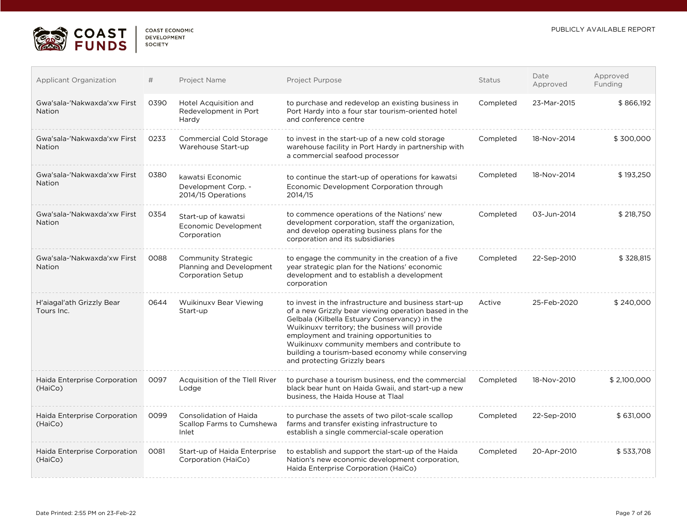

| COAST ECONOMIC     |  |
|--------------------|--|
| <b>DEVELOPMENT</b> |  |
| <b>SOCIETY</b>     |  |

| <b>Applicant Organization</b>                | #    | Project Name                                                                | Project Purpose                                                                                                                                                                                                                                                                                                                                                                                    | Status    | Date<br>Approved | Approved<br>Funding |
|----------------------------------------------|------|-----------------------------------------------------------------------------|----------------------------------------------------------------------------------------------------------------------------------------------------------------------------------------------------------------------------------------------------------------------------------------------------------------------------------------------------------------------------------------------------|-----------|------------------|---------------------|
| Gwa'sala-'Nakwaxda'xw First<br><b>Nation</b> | 0390 | Hotel Acquisition and<br>Redevelopment in Port<br>Hardy                     | to purchase and redevelop an existing business in<br>Port Hardy into a four star tourism-oriented hotel<br>and conference centre                                                                                                                                                                                                                                                                   | Completed | 23-Mar-2015      | \$866,192           |
| Gwa'sala-'Nakwaxda'xw First<br><b>Nation</b> | 0233 | Commercial Cold Storage<br>Warehouse Start-up                               | to invest in the start-up of a new cold storage<br>warehouse facility in Port Hardy in partnership with<br>a commercial seafood processor                                                                                                                                                                                                                                                          | Completed | 18-Nov-2014      | \$300,000           |
| Gwa'sala-'Nakwaxda'xw First<br><b>Nation</b> | 0380 | kawatsi Economic<br>Development Corp. -<br>2014/15 Operations               | to continue the start-up of operations for kawatsi<br>Economic Development Corporation through<br>2014/15                                                                                                                                                                                                                                                                                          | Completed | 18-Nov-2014      | \$193,250           |
| Gwa'sala-'Nakwaxda'xw First<br><b>Nation</b> | 0354 | Start-up of kawatsi<br>Economic Development<br>Corporation                  | to commence operations of the Nations' new<br>development corporation, staff the organization,<br>and develop operating business plans for the<br>corporation and its subsidiaries                                                                                                                                                                                                                 | Completed | 03-Jun-2014      | \$218,750           |
| Gwa'sala-'Nakwaxda'xw First<br><b>Nation</b> | 0088 | Community Strategic<br>Planning and Development<br><b>Corporation Setup</b> | to engage the community in the creation of a five<br>year strategic plan for the Nations' economic<br>development and to establish a development<br>corporation                                                                                                                                                                                                                                    | Completed | 22-Sep-2010      | \$328,815           |
| H'aiagal'ath Grizzly Bear<br>Tours Inc.      | 0644 | Wuikinuxy Bear Viewing<br>Start-up                                          | to invest in the infrastructure and business start-up<br>of a new Grizzly bear viewing operation based in the<br>Gelbala (Kilbella Estuary Conservancy) in the<br>Wuikinuxv territory; the business will provide<br>employment and training opportunities to<br>Wuikinuxy community members and contribute to<br>building a tourism-based economy while conserving<br>and protecting Grizzly bears | Active    | 25-Feb-2020      | \$240,000           |
| Haida Enterprise Corporation<br>(HaiCo)      | 0097 | Acquisition of the Tlell River<br>Lodge                                     | to purchase a tourism business, end the commercial<br>black bear hunt on Haida Gwaii, and start-up a new<br>business, the Haida House at Tlaal                                                                                                                                                                                                                                                     | Completed | 18-Nov-2010      | \$2,100,000         |
| Haida Enterprise Corporation<br>(HaiCo)      | 0099 | Consolidation of Haida<br>Scallop Farms to Cumshewa<br>Inlet                | to purchase the assets of two pilot-scale scallop<br>farms and transfer existing infrastructure to<br>establish a single commercial-scale operation                                                                                                                                                                                                                                                | Completed | 22-Sep-2010      | \$631,000           |
| Haida Enterprise Corporation<br>(HaiCo)      | 0081 | Start-up of Haida Enterprise<br>Corporation (HaiCo)                         | to establish and support the start-up of the Haida<br>Nation's new economic development corporation,<br>Haida Enterprise Corporation (HaiCo)                                                                                                                                                                                                                                                       | Completed | 20-Apr-2010      | \$533,708           |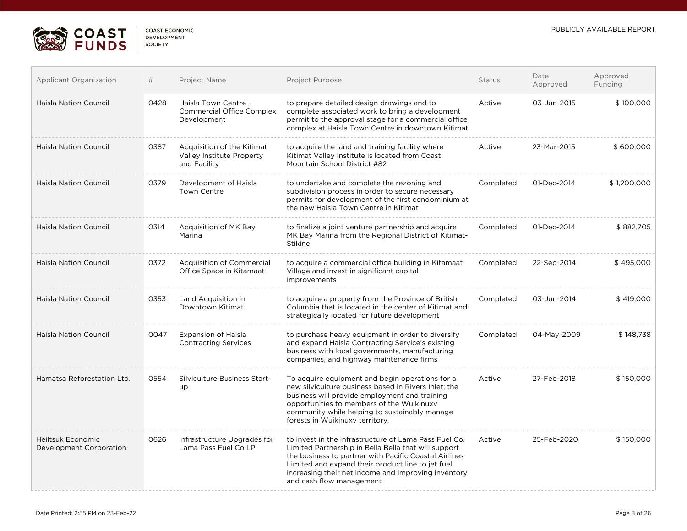

 $\mathcal{L}_{\mathcal{A}}$ 

| <b>COAST ECONOMIC</b> |  |
|-----------------------|--|
| DEVELOPMENT           |  |
| SOCIETY               |  |

| <b>Applicant Organization</b>                       | #    | Project Name                                                            | Project Purpose                                                                                                                                                                                                                                                                                                 | Status    | Date<br>Approved | Approved<br>Funding |
|-----------------------------------------------------|------|-------------------------------------------------------------------------|-----------------------------------------------------------------------------------------------------------------------------------------------------------------------------------------------------------------------------------------------------------------------------------------------------------------|-----------|------------------|---------------------|
| <b>Haisla Nation Council</b>                        | 0428 | Haisla Town Centre -<br><b>Commercial Office Complex</b><br>Development | to prepare detailed design drawings and to<br>complete associated work to bring a development<br>permit to the approval stage for a commercial office<br>complex at Haisla Town Centre in downtown Kitimat                                                                                                      | Active    | 03-Jun-2015      | \$100,000           |
| <b>Haisla Nation Council</b>                        | 0387 | Acquisition of the Kitimat<br>Valley Institute Property<br>and Facility | to acquire the land and training facility where<br>Kitimat Valley Institute is located from Coast<br>Mountain School District #82                                                                                                                                                                               | Active    | 23-Mar-2015      | \$600,000           |
| <b>Haisla Nation Council</b>                        | 0379 | Development of Haisla<br><b>Town Centre</b>                             | to undertake and complete the rezoning and<br>subdivision process in order to secure necessary<br>permits for development of the first condominium at<br>the new Haisla Town Centre in Kitimat                                                                                                                  | Completed | 01-Dec-2014      | \$1,200,000         |
| <b>Haisla Nation Council</b>                        | 0314 | Acquisition of MK Bay<br>Marina                                         | to finalize a joint venture partnership and acquire<br>MK Bay Marina from the Regional District of Kitimat-<br><b>Stikine</b>                                                                                                                                                                                   | Completed | 01-Dec-2014      | \$882,705           |
| <b>Haisla Nation Council</b>                        | 0372 | <b>Acquisition of Commercial</b><br>Office Space in Kitamaat            | to acquire a commercial office building in Kitamaat<br>Village and invest in significant capital<br>improvements                                                                                                                                                                                                | Completed | 22-Sep-2014      | \$495,000           |
| <b>Haisla Nation Council</b>                        | 0353 | Land Acquisition in<br>Downtown Kitimat                                 | to acquire a property from the Province of British<br>Columbia that is located in the center of Kitimat and<br>strategically located for future development                                                                                                                                                     | Completed | 03-Jun-2014      | \$419,000           |
| <b>Haisla Nation Council</b>                        | 0047 | <b>Expansion of Haisla</b><br><b>Contracting Services</b>               | to purchase heavy equipment in order to diversify<br>and expand Haisla Contracting Service's existing<br>business with local governments, manufacturing<br>companies, and highway maintenance firms                                                                                                             | Completed | 04-May-2009      | \$148,738           |
| Hamatsa Reforestation Ltd.                          | 0554 | Silviculture Business Start-<br>up                                      | To acquire equipment and begin operations for a<br>new silviculture business based in Rivers Inlet; the<br>business will provide employment and training<br>opportunities to members of the Wuikinuxy<br>community while helping to sustainably manage<br>forests in Wuikinuxy territory.                       | Active    | 27-Feb-2018      | \$150,000           |
| <b>Heiltsuk Economic</b><br>Development Corporation | 0626 | Infrastructure Upgrades for<br>Lama Pass Fuel Co LP                     | to invest in the infrastructure of Lama Pass Fuel Co.<br>Limited Partnership in Bella Bella that will support<br>the business to partner with Pacific Coastal Airlines<br>Limited and expand their product line to jet fuel,<br>increasing their net income and improving inventory<br>and cash flow management | Active    | 25-Feb-2020      | \$150,000           |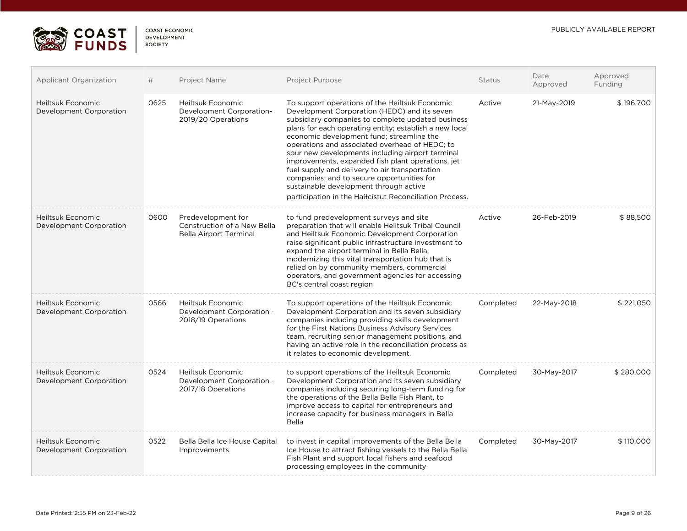

| COAST FCONOMIC     |
|--------------------|
| <b>DEVELOPMENT</b> |
| <b>SOCIETY</b>     |
|                    |

| <b>Applicant Organization</b>                | #    | Project Name                                                                       | Project Purpose                                                                                                                                                                                                                                                                                                                                                                                                                                                                                                                                                                                                            | Status    | Date<br>Approved | Approved<br>Funding |
|----------------------------------------------|------|------------------------------------------------------------------------------------|----------------------------------------------------------------------------------------------------------------------------------------------------------------------------------------------------------------------------------------------------------------------------------------------------------------------------------------------------------------------------------------------------------------------------------------------------------------------------------------------------------------------------------------------------------------------------------------------------------------------------|-----------|------------------|---------------------|
| Heiltsuk Economic<br>Development Corporation | 0625 | <b>Heiltsuk Economic</b><br>Development Corporation-<br>2019/20 Operations         | To support operations of the Heiltsuk Economic<br>Development Corporation (HEDC) and its seven<br>subsidiary companies to complete updated business<br>plans for each operating entity; establish a new local<br>economic development fund; streamline the<br>operations and associated overhead of HEDC; to<br>spur new developments including airport terminal<br>improvements, expanded fish plant operations, jet<br>fuel supply and delivery to air transportation<br>companies; and to secure opportunities for<br>sustainable development through active<br>participation in the Haíłcístut Reconciliation Process. | Active    | 21-May-2019      | \$196,700           |
| Heiltsuk Economic<br>Development Corporation | 0600 | Predevelopment for<br>Construction of a New Bella<br><b>Bella Airport Terminal</b> | to fund predevelopment surveys and site<br>preparation that will enable Heiltsuk Tribal Council<br>and Heiltsuk Economic Development Corporation<br>raise significant public infrastructure investment to<br>expand the airport terminal in Bella Bella,<br>modernizing this vital transportation hub that is<br>relied on by community members, commercial<br>operators, and government agencies for accessing<br>BC's central coast region                                                                                                                                                                               | Active    | 26-Feb-2019      | \$88,500            |
| Heiltsuk Economic<br>Development Corporation | 0566 | Heiltsuk Economic<br>Development Corporation -<br>2018/19 Operations               | To support operations of the Heiltsuk Economic<br>Development Corporation and its seven subsidiary<br>companies including providing skills development<br>for the First Nations Business Advisory Services<br>team, recruiting senior management positions, and<br>having an active role in the reconciliation process as<br>it relates to economic development.                                                                                                                                                                                                                                                           | Completed | 22-May-2018      | \$221,050           |
| Heiltsuk Economic<br>Development Corporation | 0524 | <b>Heiltsuk Economic</b><br>Development Corporation -<br>2017/18 Operations        | to support operations of the Heiltsuk Economic<br>Development Corporation and its seven subsidiary<br>companies including securing long-term funding for<br>the operations of the Bella Bella Fish Plant, to<br>improve access to capital for entrepreneurs and<br>increase capacity for business managers in Bella<br>Bella                                                                                                                                                                                                                                                                                               | Completed | 30-May-2017      | \$280,000           |
| Heiltsuk Economic<br>Development Corporation | 0522 | Bella Bella Ice House Capital<br>Improvements                                      | to invest in capital improvements of the Bella Bella<br>Ice House to attract fishing vessels to the Bella Bella<br>Fish Plant and support local fishers and seafood<br>processing employees in the community                                                                                                                                                                                                                                                                                                                                                                                                               | Completed | 30-May-2017      | \$110,000           |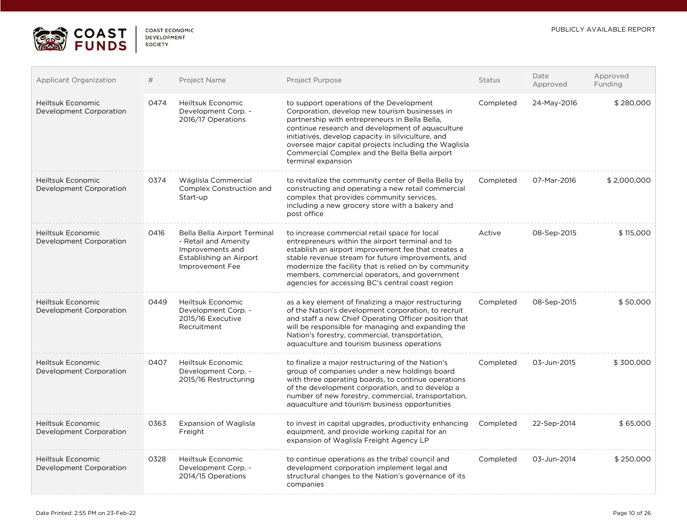

| COAST FCONOMIC |
|----------------|
| DEVELOPMENT    |
| SOCIETY        |

| <b>Applicant Organization</b>                       | #    | Project Name                                                                                                           | Project Purpose                                                                                                                                                                                                                                                                                                                                                                         | Status    | Date<br>Approved | Approved<br>Funding |
|-----------------------------------------------------|------|------------------------------------------------------------------------------------------------------------------------|-----------------------------------------------------------------------------------------------------------------------------------------------------------------------------------------------------------------------------------------------------------------------------------------------------------------------------------------------------------------------------------------|-----------|------------------|---------------------|
| <b>Heiltsuk Economic</b><br>Development Corporation | 0474 | Heiltsuk Economic<br>Development Corp. -<br>2016/17 Operations                                                         | to support operations of the Development<br>Corporation, develop new tourism businesses in<br>partnership with entrepreneurs in Bella Bella,<br>continue research and development of aquaculture<br>initiatives, develop capacity in silviculture, and<br>oversee major capital projects including the Waglisla<br>Commercial Complex and the Bella Bella airport<br>terminal expansion | Completed | 24-May-2016      | \$280,000           |
| <b>Heiltsuk Economic</b><br>Development Corporation | 0374 | Wáglísla Commercial<br>Complex Construction and<br>Start-up                                                            | to revitalize the community center of Bella Bella by<br>constructing and operating a new retail commercial<br>complex that provides community services,<br>including a new grocery store with a bakery and<br>post office                                                                                                                                                               | Completed | 07-Mar-2016      | \$2,000,000         |
| Heiltsuk Economic<br>Development Corporation        | 0416 | Bella Bella Airport Terminal<br>- Retail and Amenity<br>Improvements and<br>Establishing an Airport<br>Improvement Fee | to increase commercial retail space for local<br>entrepreneurs within the airport terminal and to<br>establish an airport improvement fee that creates a<br>stable revenue stream for future improvements, and<br>modernize the facility that is relied on by community<br>members, commercial operators, and government<br>agencies for accessing BC's central coast region            | Active    | 08-Sep-2015      | \$115,000           |
| Heiltsuk Economic<br>Development Corporation        | 0449 | <b>Heiltsuk Economic</b><br>Development Corp. -<br>2015/16 Executive<br>Recruitment                                    | as a key element of finalizing a major restructuring<br>of the Nation's development corporation, to recruit<br>and staff a new Chief Operating Officer position that<br>will be responsible for managing and expanding the<br>Nation's forestry, commercial, transportation,<br>aquaculture and tourism business operations                                                             | Completed | 08-Sep-2015      | \$50,000            |
| <b>Heiltsuk Economic</b><br>Development Corporation | 0407 | Heiltsuk Economic<br>Development Corp. -<br>2015/16 Restructuring                                                      | to finalize a major restructuring of the Nation's<br>group of companies under a new holdings board<br>with three operating boards, to continue operations<br>of the development corporation, and to develop a<br>number of new forestry, commercial, transportation,<br>aquaculture and tourism business opportunities                                                                  | Completed | 03-Jun-2015      | \$300,000           |
| <b>Heiltsuk Economic</b><br>Development Corporation | 0363 | Expansion of Waglisla<br>Freight                                                                                       | to invest in capital upgrades, productivity enhancing<br>equipment, and provide working capital for an<br>expansion of Waglisla Freight Agency LP                                                                                                                                                                                                                                       | Completed | 22-Sep-2014      | \$65,000            |
| <b>Heiltsuk Economic</b><br>Development Corporation | 0328 | <b>Heiltsuk Economic</b><br>Development Corp. -<br>2014/15 Operations                                                  | to continue operations as the tribal council and<br>development corporation implement legal and<br>structural changes to the Nation's governance of its<br>companies                                                                                                                                                                                                                    | Completed | 03-Jun-2014      | \$250,000           |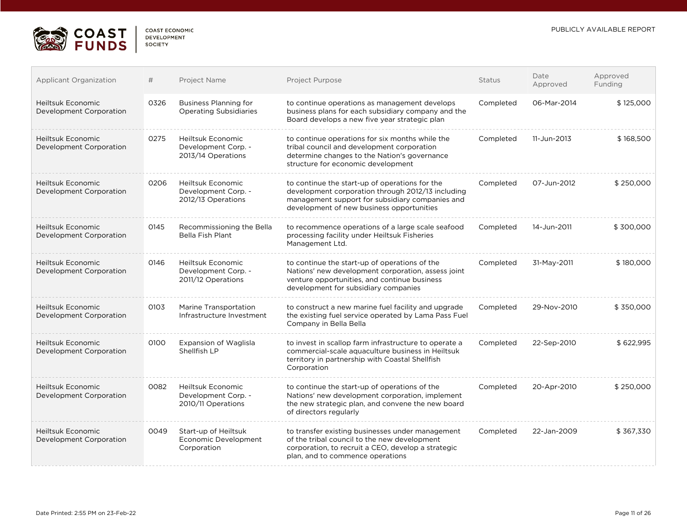

| CUAST ECUNUMIC     |  |
|--------------------|--|
| <b>DEVELOPMENT</b> |  |
| SOCIETY            |  |

| Applicant Organization                              | #    | Project Name                                                          | Project Purpose                                                                                                                                                                                     | <b>Status</b> | Date<br>Approved | Approved<br>Funding |
|-----------------------------------------------------|------|-----------------------------------------------------------------------|-----------------------------------------------------------------------------------------------------------------------------------------------------------------------------------------------------|---------------|------------------|---------------------|
| Heiltsuk Economic<br>Development Corporation        | 0326 | <b>Business Planning for</b><br><b>Operating Subsidiaries</b>         | to continue operations as management develops<br>business plans for each subsidiary company and the<br>Board develops a new five year strategic plan                                                | Completed     | 06-Mar-2014      | \$125,000           |
| Heiltsuk Economic<br>Development Corporation        | 0275 | Heiltsuk Economic<br>Development Corp. -<br>2013/14 Operations        | to continue operations for six months while the<br>tribal council and development corporation<br>determine changes to the Nation's governance<br>structure for economic development                 | Completed     | 11-Jun-2013      | \$168,500           |
| <b>Heiltsuk Economic</b><br>Development Corporation | 0206 | Heiltsuk Economic<br>Development Corp. -<br>2012/13 Operations        | to continue the start-up of operations for the<br>development corporation through 2012/13 including<br>management support for subsidiary companies and<br>development of new business opportunities | Completed     | 07-Jun-2012      | \$250,000           |
| Heiltsuk Economic<br>Development Corporation        | 0145 | Recommissioning the Bella<br><b>Bella Fish Plant</b>                  | to recommence operations of a large scale seafood<br>processing facility under Heiltsuk Fisheries<br>Management Ltd.                                                                                | Completed     | 14-Jun-2011      | \$300,000           |
| Heiltsuk Economic<br>Development Corporation        | 0146 | <b>Heiltsuk Economic</b><br>Development Corp. -<br>2011/12 Operations | to continue the start-up of operations of the<br>Nations' new development corporation, assess joint<br>venture opportunities, and continue business<br>development for subsidiary companies         | Completed     | 31-May-2011      | \$180,000           |
| Heiltsuk Economic<br>Development Corporation        | 0103 | Marine Transportation<br>Infrastructure Investment                    | to construct a new marine fuel facility and upgrade<br>the existing fuel service operated by Lama Pass Fuel<br>Company in Bella Bella                                                               | Completed     | 29-Nov-2010      | \$350,000           |
| Heiltsuk Economic<br>Development Corporation        | 0100 | <b>Expansion of Waglisla</b><br>Shellfish LP                          | to invest in scallop farm infrastructure to operate a<br>commercial-scale aquaculture business in Heiltsuk<br>territory in partnership with Coastal Shellfish<br>Corporation                        | Completed     | 22-Sep-2010      | \$622,995           |
| <b>Heiltsuk Economic</b><br>Development Corporation | 0082 | Heiltsuk Economic<br>Development Corp. -<br>2010/11 Operations        | to continue the start-up of operations of the<br>Nations' new development corporation, implement<br>the new strategic plan, and convene the new board<br>of directors regularly                     | Completed     | 20-Apr-2010      | \$250,000           |
| Heiltsuk Economic<br>Development Corporation        | 0049 | Start-up of Heiltsuk<br>Economic Development<br>Corporation           | to transfer existing businesses under management<br>of the tribal council to the new development<br>corporation, to recruit a CEO, develop a strategic<br>plan, and to commence operations          | Completed     | 22-Jan-2009      | \$367,330           |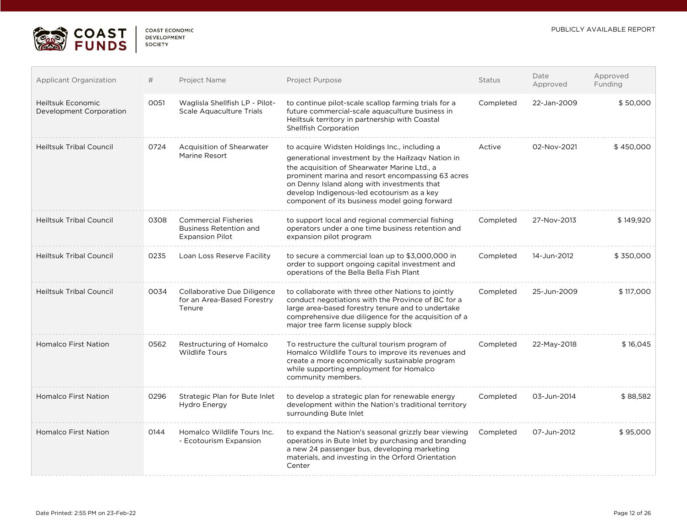

| <b>COAST ECONOMIC</b> |
|-----------------------|
| <b>DEVELOPMENT</b>    |
| <b>SOCIETY</b>        |
|                       |

| <b>Applicant Organization</b>                | #    | Project Name                                                                           | Project Purpose                                                                                                                                                                                                                                                                                                                                       | <b>Status</b> | Date<br>Approved | Approved<br>Funding |
|----------------------------------------------|------|----------------------------------------------------------------------------------------|-------------------------------------------------------------------------------------------------------------------------------------------------------------------------------------------------------------------------------------------------------------------------------------------------------------------------------------------------------|---------------|------------------|---------------------|
| Heiltsuk Economic<br>Development Corporation | 0051 | Waglisla Shellfish LP - Pilot-<br>Scale Aquaculture Trials                             | to continue pilot-scale scallop farming trials for a<br>future commercial-scale aquaculture business in<br>Heiltsuk territory in partnership with Coastal<br><b>Shellfish Corporation</b>                                                                                                                                                             | Completed     | 22-Jan-2009      | \$50,000            |
| <b>Heiltsuk Tribal Council</b>               | 0724 | Acquisition of Shearwater<br>Marine Resort                                             | to acquire Widsten Holdings Inc., including a<br>generational investment by the Haíłzaqv Nation in<br>the acquisition of Shearwater Marine Ltd., a<br>prominent marina and resort encompassing 63 acres<br>on Denny Island along with investments that<br>develop Indigenous-led ecotourism as a key<br>component of its business model going forward | Active        | 02-Nov-2021      | \$450,000           |
| <b>Heiltsuk Tribal Council</b>               | 0308 | <b>Commercial Fisheries</b><br><b>Business Retention and</b><br><b>Expansion Pilot</b> | to support local and regional commercial fishing<br>operators under a one time business retention and<br>expansion pilot program                                                                                                                                                                                                                      | Completed     | 27-Nov-2013      | \$149,920           |
| <b>Heiltsuk Tribal Council</b>               | 0235 | Loan Loss Reserve Facility                                                             | to secure a commercial loan up to \$3,000,000 in<br>order to support ongoing capital investment and<br>operations of the Bella Bella Fish Plant                                                                                                                                                                                                       | Completed     | 14-Jun-2012      | \$350,000           |
| <b>Heiltsuk Tribal Council</b>               | 0034 | Collaborative Due Diligence<br>for an Area-Based Forestry<br>Tenure                    | to collaborate with three other Nations to jointly<br>conduct negotiations with the Province of BC for a<br>large area-based forestry tenure and to undertake<br>comprehensive due diligence for the acquisition of a<br>major tree farm license supply block                                                                                         | Completed     | 25-Jun-2009      | \$117,000           |
| <b>Homalco First Nation</b>                  | 0562 | Restructuring of Homalco<br><b>Wildlife Tours</b>                                      | To restructure the cultural tourism program of<br>Homalco Wildlife Tours to improve its revenues and<br>create a more economically sustainable program<br>while supporting employment for Homalco<br>community members.                                                                                                                               | Completed     | 22-May-2018      | \$16,045            |
| <b>Homalco First Nation</b>                  | 0296 | Strategic Plan for Bute Inlet<br>Hydro Energy                                          | to develop a strategic plan for renewable energy<br>development within the Nation's traditional territory<br>surrounding Bute Inlet                                                                                                                                                                                                                   | Completed     | 03-Jun-2014      | \$88,582            |
| <b>Homalco First Nation</b>                  | 0144 | Homalco Wildlife Tours Inc.<br>- Ecotourism Expansion                                  | to expand the Nation's seasonal grizzly bear viewing<br>operations in Bute Inlet by purchasing and branding<br>a new 24 passenger bus, developing marketing<br>materials, and investing in the Orford Orientation<br>Center                                                                                                                           | Completed     | 07-Jun-2012      | \$95,000            |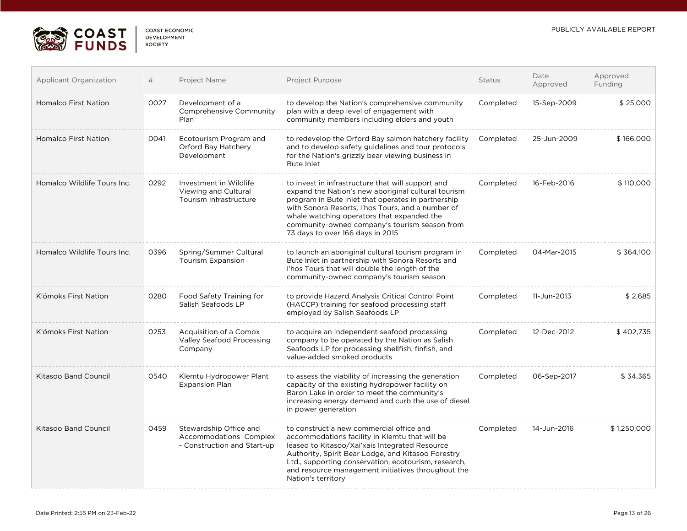

| COAST FCONOMIC |  |
|----------------|--|
| DEVELOPMENT    |  |
| <b>SOCIETY</b> |  |

| <b>Applicant Organization</b> | #    | Project Name                                                                    | Project Purpose                                                                                                                                                                                                                                                                                                                                        | Status    | Date<br>Approved | Approved<br>Funding |
|-------------------------------|------|---------------------------------------------------------------------------------|--------------------------------------------------------------------------------------------------------------------------------------------------------------------------------------------------------------------------------------------------------------------------------------------------------------------------------------------------------|-----------|------------------|---------------------|
| <b>Homalco First Nation</b>   | 0027 | Development of a<br>Comprehensive Community<br>Plan                             | to develop the Nation's comprehensive community<br>plan with a deep level of engagement with<br>community members including elders and youth                                                                                                                                                                                                           | Completed | 15-Sep-2009      | \$25,000            |
| <b>Homalco First Nation</b>   | 0041 | Ecotourism Program and<br>Orford Bay Hatchery<br>Development                    | to redevelop the Orford Bay salmon hatchery facility<br>and to develop safety guidelines and tour protocols<br>for the Nation's grizzly bear viewing business in<br><b>Bute Inlet</b>                                                                                                                                                                  | Completed | 25-Jun-2009      | \$166,000           |
| Homalco Wildlife Tours Inc.   | 0292 | Investment in Wildlife<br>Viewing and Cultural<br>Tourism Infrastructure        | to invest in infrastructure that will support and<br>expand the Nation's new aboriginal cultural tourism<br>program in Bute Inlet that operates in partnership<br>with Sonora Resorts, I'hos Tours, and a number of<br>whale watching operators that expanded the<br>community-owned company's tourism season from<br>73 days to over 166 days in 2015 | Completed | 16-Feb-2016      | \$110,000           |
| Homalco Wildlife Tours Inc.   | 0396 | Spring/Summer Cultural<br><b>Tourism Expansion</b>                              | to launch an aboriginal cultural tourism program in<br>Bute Inlet in partnership with Sonora Resorts and<br>I'hos Tours that will double the length of the<br>community-owned company's tourism season                                                                                                                                                 | Completed | 04-Mar-2015      | \$364,100           |
| K'ómoks First Nation          | 0280 | Food Safety Training for<br>Salish Seafoods LP                                  | to provide Hazard Analysis Critical Control Point<br>(HACCP) training for seafood processing staff<br>employed by Salish Seafoods LP                                                                                                                                                                                                                   | Completed | 11-Jun-2013      | \$2,685             |
| K'ómoks First Nation          | 0253 | Acquisition of a Comox<br>Valley Seafood Processing<br>Company                  | to acquire an independent seafood processing<br>company to be operated by the Nation as Salish<br>Seafoods LP for processing shellfish, finfish, and<br>value-added smoked products                                                                                                                                                                    | Completed | 12-Dec-2012      | \$402,735           |
| <b>Kitasoo Band Council</b>   | 0540 | Klemtu Hydropower Plant<br><b>Expansion Plan</b>                                | to assess the viability of increasing the generation<br>capacity of the existing hydropower facility on<br>Baron Lake in order to meet the community's<br>increasing energy demand and curb the use of diesel<br>in power generation                                                                                                                   | Completed | 06-Sep-2017      | \$34,365            |
| <b>Kitasoo Band Council</b>   | 0459 | Stewardship Office and<br>Accommodations Complex<br>- Construction and Start-up | to construct a new commercial office and<br>accommodations facility in Klemtu that will be<br>leased to Kitasoo/Xai'xais Integrated Resource<br>Authority, Spirit Bear Lodge, and Kitasoo Forestry<br>Ltd., supporting conservation, ecotourism, research,<br>and resource management initiatives throughout the<br>Nation's territory                 | Completed | 14-Jun-2016      | \$1,250,000         |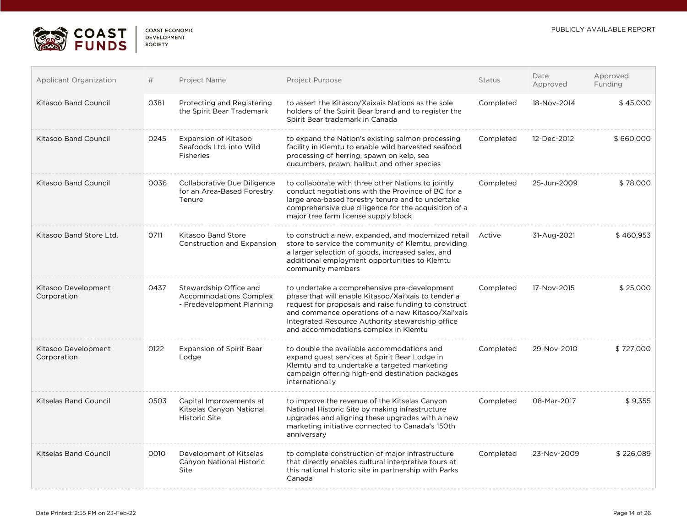

| COAST FCONOMIC |
|----------------|
| DEVELOPMENT    |
| SOCIETY        |
|                |

| <b>Applicant Organization</b>      | #    | Project Name                                                                         | Project Purpose                                                                                                                                                                                                                                                                                              | Status    | Date<br>Approved | Approved<br>Funding |
|------------------------------------|------|--------------------------------------------------------------------------------------|--------------------------------------------------------------------------------------------------------------------------------------------------------------------------------------------------------------------------------------------------------------------------------------------------------------|-----------|------------------|---------------------|
| Kitasoo Band Council               | 0381 | Protecting and Registering<br>the Spirit Bear Trademark                              | to assert the Kitasoo/Xaixais Nations as the sole<br>holders of the Spirit Bear brand and to register the<br>Spirit Bear trademark in Canada                                                                                                                                                                 | Completed | 18-Nov-2014      | \$45,000            |
| Kitasoo Band Council               | 0245 | <b>Expansion of Kitasoo</b><br>Seafoods Ltd. into Wild<br>Fisheries                  | to expand the Nation's existing salmon processing<br>facility in Klemtu to enable wild harvested seafood<br>processing of herring, spawn on kelp, sea<br>cucumbers, prawn, halibut and other species                                                                                                         | Completed | 12-Dec-2012      | \$660,000           |
| Kitasoo Band Council               | 0036 | Collaborative Due Diligence<br>for an Area-Based Forestry<br>Tenure                  | to collaborate with three other Nations to jointly<br>conduct negotiations with the Province of BC for a<br>large area-based forestry tenure and to undertake<br>comprehensive due diligence for the acquisition of a<br>major tree farm license supply block                                                | Completed | 25-Jun-2009      | \$78,000            |
| Kitasoo Band Store Ltd.            | 0711 | <b>Kitasoo Band Store</b><br><b>Construction and Expansion</b>                       | to construct a new, expanded, and modernized retail<br>store to service the community of Klemtu, providing<br>a larger selection of goods, increased sales, and<br>additional employment opportunities to Klemtu<br>community members                                                                        | Active    | 31-Aug-2021      | \$460,953           |
| Kitasoo Development<br>Corporation | 0437 | Stewardship Office and<br><b>Accommodations Complex</b><br>- Predevelopment Planning | to undertake a comprehensive pre-development<br>phase that will enable Kitasoo/Xai'xais to tender a<br>request for proposals and raise funding to construct<br>and commence operations of a new Kitasoo/Xai'xais<br>Integrated Resource Authority stewardship office<br>and accommodations complex in Klemtu | Completed | 17-Nov-2015      | \$25,000            |
| Kitasoo Development<br>Corporation | 0122 | <b>Expansion of Spirit Bear</b><br>Lodge                                             | to double the available accommodations and<br>expand quest services at Spirit Bear Lodge in<br>Klemtu and to undertake a targeted marketing<br>campaign offering high-end destination packages<br>internationally                                                                                            | Completed | 29-Nov-2010      | \$727,000           |
| Kitselas Band Council              | 0503 | Capital Improvements at<br>Kitselas Canyon National<br><b>Historic Site</b>          | to improve the revenue of the Kitselas Canyon<br>National Historic Site by making infrastructure<br>upgrades and aligning these upgrades with a new<br>marketing initiative connected to Canada's 150th<br>anniversary                                                                                       | Completed | 08-Mar-2017      | \$9,355             |
| Kitselas Band Council              | 0010 | Development of Kitselas<br>Canyon National Historic<br>Site                          | to complete construction of major infrastructure<br>that directly enables cultural interpretive tours at<br>this national historic site in partnership with Parks<br>Canada                                                                                                                                  | Completed | 23-Nov-2009      | \$226,089           |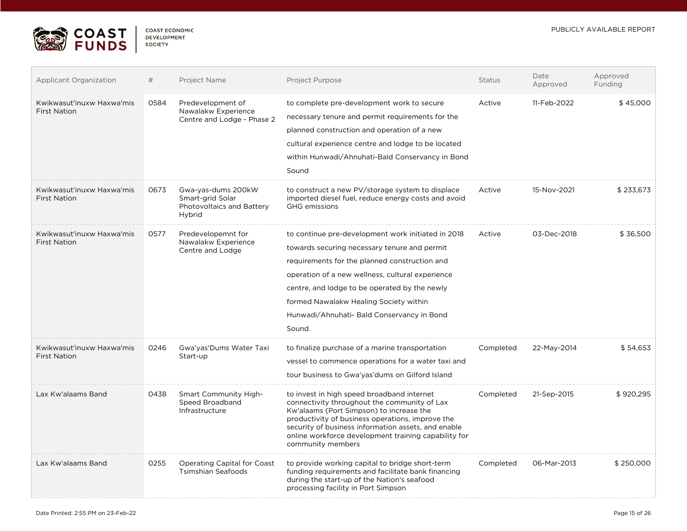

| <b>COAST ECONOMIC</b> |
|-----------------------|
| DEVELOPMENT           |
| SOCIETY               |
|                       |

| <b>Applicant Organization</b>                    | #    | Project Name                                                                  | Project Purpose                                                                                                                                                                                                                                                                                                                                            | <b>Status</b> | Date<br>Approved | Approved<br>Funding |
|--------------------------------------------------|------|-------------------------------------------------------------------------------|------------------------------------------------------------------------------------------------------------------------------------------------------------------------------------------------------------------------------------------------------------------------------------------------------------------------------------------------------------|---------------|------------------|---------------------|
| Kwikwasut'inuxw Haxwa'mis<br><b>First Nation</b> | 0584 | Predevelopment of<br>Nawalakw Experience<br>Centre and Lodge - Phase 2        | to complete pre-development work to secure<br>necessary tenure and permit requirements for the<br>planned construction and operation of a new<br>cultural experience centre and lodge to be located<br>within Hunwadi/Ahnuhati-Bald Conservancy in Bond<br>Sound                                                                                           | Active        | 11-Feb-2022      | \$45,000            |
| Kwikwasut'inuxw Haxwa'mis<br><b>First Nation</b> | 0673 | Gwa-yas-dums 200kW<br>Smart-grid Solar<br>Photovoltaics and Battery<br>Hybrid | to construct a new PV/storage system to displace<br>imported diesel fuel, reduce energy costs and avoid<br><b>GHG</b> emissions                                                                                                                                                                                                                            | Active        | 15-Nov-2021      | \$233,673           |
| Kwikwasut'inuxw Haxwa'mis<br><b>First Nation</b> | 0577 | Predevelopemnt for<br>Nawalakw Experience<br>Centre and Lodge                 | to continue pre-development work initiated in 2018<br>towards securing necessary tenure and permit<br>requirements for the planned construction and<br>operation of a new wellness, cultural experience<br>centre, and lodge to be operated by the newly<br>formed Nawalakw Healing Society within<br>Hunwadi/Ahnuhati- Bald Conservancy in Bond<br>Sound. | Active        | 03-Dec-2018      | \$36,500            |
| Kwikwasut'inuxw Haxwa'mis<br><b>First Nation</b> | 0246 | Gwa'yas'Dums Water Taxi<br>Start-up                                           | to finalize purchase of a marine transportation<br>vessel to commence operations for a water taxi and<br>tour business to Gwa'yas'dums on Gilford Island                                                                                                                                                                                                   | Completed     | 22-May-2014      | \$54,653            |
| Lax Kw'alaams Band                               | 0438 | <b>Smart Community High-</b><br>Speed Broadband<br>Infrastructure             | to invest in high speed broadband internet<br>connectivity throughout the community of Lax<br>Kw'alaams (Port Simpson) to increase the<br>productivity of business operations, improve the<br>security of business information assets, and enable<br>online workforce development training capability for<br>community members                             | Completed     | 21-Sep-2015      | \$920,295           |
| Lax Kw'alaams Band                               | 0255 | <b>Operating Capital for Coast</b><br><b>Tsimshian Seafoods</b>               | to provide working capital to bridge short-term<br>funding requirements and facilitate bank financing<br>during the start-up of the Nation's seafood<br>processing facility in Port Simpson                                                                                                                                                                | Completed     | 06-Mar-2013      | \$250,000           |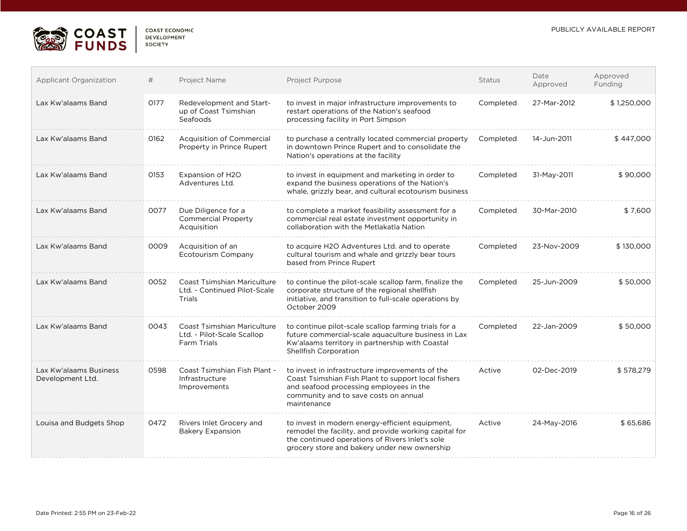

| <b>COAST ECONOMIC</b> |
|-----------------------|
| DEVELOPMENT           |
| <b>SOCIETY</b>        |

| <b>Applicant Organization</b>              | #    | Project Name                                                                    | Project Purpose                                                                                                                                                                                             | <b>Status</b> | Date<br>Approved | Approved<br>Funding |
|--------------------------------------------|------|---------------------------------------------------------------------------------|-------------------------------------------------------------------------------------------------------------------------------------------------------------------------------------------------------------|---------------|------------------|---------------------|
| Lax Kw'alaams Band                         | 0177 | Redevelopment and Start-<br>up of Coast Tsimshian<br>Seafoods                   | to invest in major infrastructure improvements to<br>restart operations of the Nation's seafood<br>processing facility in Port Simpson                                                                      | Completed     | 27-Mar-2012      | \$1,250,000         |
| Lax Kw'alaams Band                         | 0162 | <b>Acquisition of Commercial</b><br>Property in Prince Rupert                   | to purchase a centrally located commercial property<br>in downtown Prince Rupert and to consolidate the<br>Nation's operations at the facility                                                              | Completed     | 14-Jun-2011      | \$447,000           |
| Lax Kw'alaams Band                         | 0153 | Expansion of H2O<br>Adventures Ltd.                                             | to invest in equipment and marketing in order to<br>expand the business operations of the Nation's<br>whale, grizzly bear, and cultural ecotourism business                                                 | Completed     | 31-May-2011      | \$90,000            |
| Lax Kw'alaams Band                         | 0077 | Due Diligence for a<br><b>Commercial Property</b><br>Acquisition                | to complete a market feasibility assessment for a<br>commercial real estate investment opportunity in<br>collaboration with the Metlakatla Nation                                                           | Completed     | 30-Mar-2010      | \$7,600             |
| Lax Kw'alaams Band                         | 0009 | Acquisition of an<br><b>Ecotourism Company</b>                                  | to acquire H2O Adventures Ltd. and to operate<br>cultural tourism and whale and grizzly bear tours<br>based from Prince Rupert                                                                              | Completed     | 23-Nov-2009      | \$130,000           |
| Lax Kw'alaams Band                         | 0052 | <b>Coast Tsimshian Mariculture</b><br>Ltd. - Continued Pilot-Scale<br>Trials    | to continue the pilot-scale scallop farm, finalize the<br>corporate structure of the regional shellfish<br>initiative, and transition to full-scale operations by<br>October 2009                           | Completed     | 25-Jun-2009      | \$50,000            |
| Lax Kw'alaams Band                         | 0043 | <b>Coast Tsimshian Mariculture</b><br>Ltd. - Pilot-Scale Scallop<br>Farm Trials | to continue pilot-scale scallop farming trials for a<br>future commercial-scale aquaculture business in Lax<br>Kw'alaams territory in partnership with Coastal<br><b>Shellfish Corporation</b>              | Completed     | 22-Jan-2009      | \$50,000            |
| Lax Kw'alaams Business<br>Development Ltd. | 0598 | Coast Tsimshian Fish Plant -<br>Infrastructure<br>Improvements                  | to invest in infrastructure improvements of the<br>Coast Tsimshian Fish Plant to support local fishers<br>and seafood processing employees in the<br>community and to save costs on annual<br>maintenance   | Active        | 02-Dec-2019      | \$578,279           |
| Louisa and Budgets Shop                    | 0472 | Rivers Inlet Grocery and<br><b>Bakery Expansion</b>                             | to invest in modern energy-efficient equipment,<br>remodel the facility, and provide working capital for<br>the continued operations of Rivers Inlet's sole<br>grocery store and bakery under new ownership | Active        | 24-May-2016      | \$65,686            |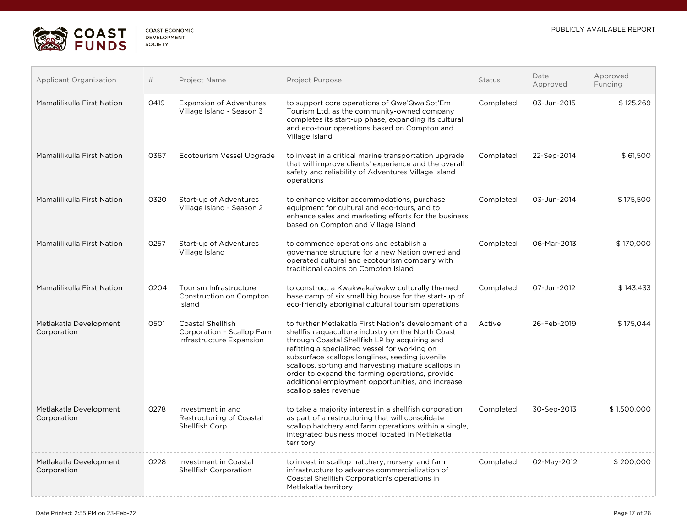

 $\overline{\mathcal{L}^{\mathcal{A}}(\mathcal{A})}$ 

| <b>COAST ECONOMIC</b> |  |
|-----------------------|--|
| <b>DEVELOPMENT</b>    |  |
| SOCIETY               |  |

| <b>Applicant Organization</b>         | #    | Project Name                                                                | Project Purpose                                                                                                                                                                                                                                                                                                                                                                                                                                         | Status    | Date<br>Approved | Approved<br>Funding |
|---------------------------------------|------|-----------------------------------------------------------------------------|---------------------------------------------------------------------------------------------------------------------------------------------------------------------------------------------------------------------------------------------------------------------------------------------------------------------------------------------------------------------------------------------------------------------------------------------------------|-----------|------------------|---------------------|
| Mamalilikulla First Nation            | 0419 | <b>Expansion of Adventures</b><br>Village Island - Season 3                 | to support core operations of Qwe'Qwa'Sot'Em<br>Tourism Ltd. as the community-owned company<br>completes its start-up phase, expanding its cultural<br>and eco-tour operations based on Compton and<br>Village Island                                                                                                                                                                                                                                   | Completed | 03-Jun-2015      | \$125,269           |
| Mamalilikulla First Nation            | 0367 | Ecotourism Vessel Upgrade                                                   | to invest in a critical marine transportation upgrade<br>that will improve clients' experience and the overall<br>safety and reliability of Adventures Village Island<br>operations                                                                                                                                                                                                                                                                     | Completed | 22-Sep-2014      | \$61,500            |
| Mamalilikulla First Nation            | 0320 | Start-up of Adventures<br>Village Island - Season 2                         | to enhance visitor accommodations, purchase<br>equipment for cultural and eco-tours, and to<br>enhance sales and marketing efforts for the business<br>based on Compton and Village Island                                                                                                                                                                                                                                                              | Completed | 03-Jun-2014      | \$175,500           |
| Mamalilikulla First Nation            | 0257 | Start-up of Adventures<br>Village Island                                    | to commence operations and establish a<br>governance structure for a new Nation owned and<br>operated cultural and ecotourism company with<br>traditional cabins on Compton Island                                                                                                                                                                                                                                                                      | Completed | 06-Mar-2013      | \$170,000           |
| Mamalilikulla First Nation            | 0204 | Tourism Infrastructure<br>Construction on Compton<br>Island                 | to construct a Kwakwaka'wakw culturally themed<br>base camp of six small big house for the start-up of<br>eco-friendly aboriginal cultural tourism operations                                                                                                                                                                                                                                                                                           | Completed | 07-Jun-2012      | \$143,433           |
| Metlakatla Development<br>Corporation | 0501 | Coastal Shellfish<br>Corporation - Scallop Farm<br>Infrastructure Expansion | to further Metlakatla First Nation's development of a<br>shellfish aguaculture industry on the North Coast<br>through Coastal Shellfish LP by acquiring and<br>refitting a specialized vessel for working on<br>subsurface scallops longlines, seeding juvenile<br>scallops, sorting and harvesting mature scallops in<br>order to expand the farming operations, provide<br>additional employment opportunities, and increase<br>scallop sales revenue | Active    | 26-Feb-2019      | \$175,044           |
| Metlakatla Development<br>Corporation | 0278 | Investment in and<br>Restructuring of Coastal<br>Shellfish Corp.            | to take a majority interest in a shellfish corporation<br>as part of a restructuring that will consolidate<br>scallop hatchery and farm operations within a single,<br>integrated business model located in Metlakatla<br>territory                                                                                                                                                                                                                     | Completed | 30-Sep-2013      | \$1,500,000         |
| Metlakatla Development<br>Corporation | 0228 | Investment in Coastal<br><b>Shellfish Corporation</b>                       | to invest in scallop hatchery, nursery, and farm<br>infrastructure to advance commercialization of<br>Coastal Shellfish Corporation's operations in<br>Metlakatla territory                                                                                                                                                                                                                                                                             | Completed | 02-May-2012      | \$200,000           |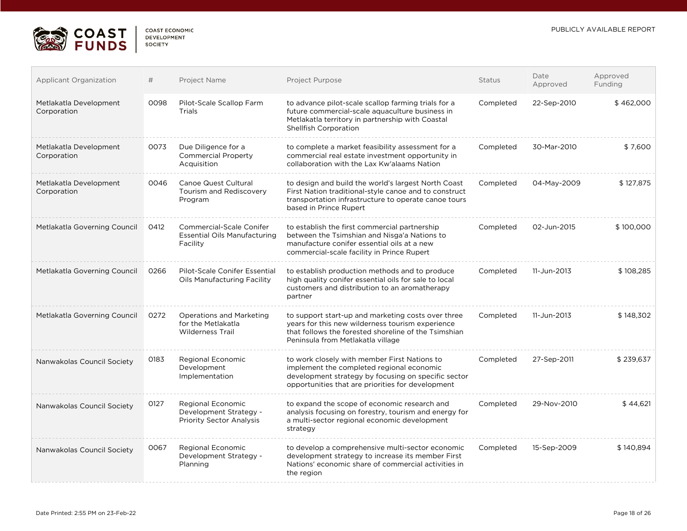

| COAST FCONOMIC     |  |
|--------------------|--|
| <b>DEVELOPMENT</b> |  |
| SOCIETY            |  |

| <b>Applicant Organization</b>         | #    | Project Name                                                                       | <b>Project Purpose</b>                                                                                                                                                                                | Status    | Date<br>Approved | Approved<br>Funding |
|---------------------------------------|------|------------------------------------------------------------------------------------|-------------------------------------------------------------------------------------------------------------------------------------------------------------------------------------------------------|-----------|------------------|---------------------|
| Metlakatla Development<br>Corporation | 0098 | Pilot-Scale Scallop Farm<br>Trials                                                 | to advance pilot-scale scallop farming trials for a<br>future commercial-scale aquaculture business in<br>Metlakatla territory in partnership with Coastal<br>Shellfish Corporation                   | Completed | 22-Sep-2010      | \$462,000           |
| Metlakatla Development<br>Corporation | 0073 | Due Diligence for a<br><b>Commercial Property</b><br>Acquisition                   | to complete a market feasibility assessment for a<br>commercial real estate investment opportunity in<br>collaboration with the Lax Kw'alaams Nation                                                  | Completed | 30-Mar-2010      | \$7,600             |
| Metlakatla Development<br>Corporation | 0046 | <b>Canoe Quest Cultural</b><br>Tourism and Rediscovery<br>Program                  | to design and build the world's largest North Coast<br>First Nation traditional-style canoe and to construct<br>transportation infrastructure to operate canoe tours<br>based in Prince Rupert        | Completed | 04-May-2009      | \$127,875           |
| Metlakatla Governing Council          | 0412 | <b>Commercial-Scale Conifer</b><br><b>Essential Oils Manufacturing</b><br>Facility | to establish the first commercial partnership<br>between the Tsimshian and Nisga'a Nations to<br>manufacture conifer essential oils at a new<br>commercial-scale facility in Prince Rupert            | Completed | 02-Jun-2015      | \$100,000           |
| Metlakatla Governing Council          | 0266 | Pilot-Scale Conifer Essential<br>Oils Manufacturing Facility                       | to establish production methods and to produce<br>high quality conifer essential oils for sale to local<br>customers and distribution to an aromatherapy<br>partner                                   | Completed | 11-Jun-2013      | \$108,285           |
| Metlakatla Governing Council          | 0272 | Operations and Marketing<br>for the Metlakatla<br><b>Wilderness Trail</b>          | to support start-up and marketing costs over three<br>years for this new wilderness tourism experience<br>that follows the forested shoreline of the Tsimshian<br>Peninsula from Metlakatla village   | Completed | 11-Jun-2013      | \$148,302           |
| Nanwakolas Council Society            | 0183 | Regional Economic<br>Development<br>Implementation                                 | to work closely with member First Nations to<br>implement the completed regional economic<br>development strategy by focusing on specific sector<br>opportunities that are priorities for development | Completed | 27-Sep-2011      | \$239,637           |
| Nanwakolas Council Society            | 0127 | Regional Economic<br>Development Strategy -<br><b>Priority Sector Analysis</b>     | to expand the scope of economic research and<br>analysis focusing on forestry, tourism and energy for<br>a multi-sector regional economic development<br>strategy                                     | Completed | 29-Nov-2010      | \$44,621            |
| Nanwakolas Council Society            | 0067 | Regional Economic<br>Development Strategy -<br>Planning                            | to develop a comprehensive multi-sector economic<br>development strategy to increase its member First<br>Nations' economic share of commercial activities in<br>the region                            | Completed | 15-Sep-2009      | \$140,894           |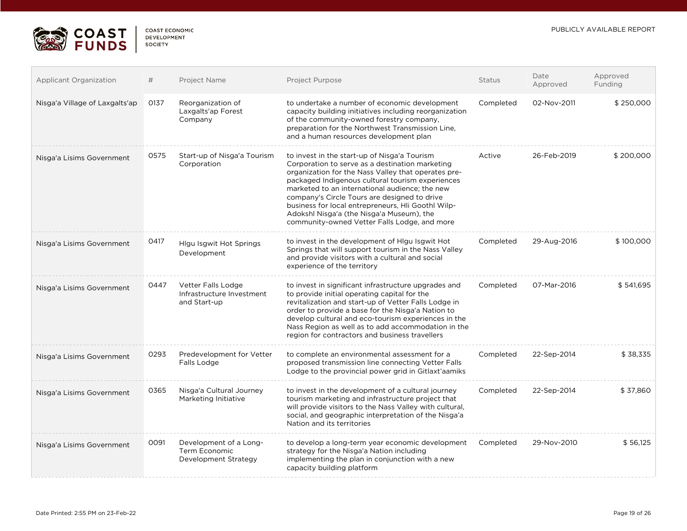

| <b>COAST ECONOMIC</b> |
|-----------------------|
| <b>DEVELOPMENT</b>    |
| <b>SOCIETY</b>        |

| <b>Applicant Organization</b>  | #    | Project Name                                                    | Project Purpose                                                                                                                                                                                                                                                                                                                                                                                                                                                 | <b>Status</b> | Date<br>Approved | Approved<br>Funding |
|--------------------------------|------|-----------------------------------------------------------------|-----------------------------------------------------------------------------------------------------------------------------------------------------------------------------------------------------------------------------------------------------------------------------------------------------------------------------------------------------------------------------------------------------------------------------------------------------------------|---------------|------------------|---------------------|
| Nisga'a Village of Laxgalts'ap | 0137 | Reorganization of<br>Laxgalts'ap Forest<br>Company              | to undertake a number of economic development<br>capacity building initiatives including reorganization<br>of the community-owned forestry company,<br>preparation for the Northwest Transmission Line,<br>and a human resources development plan                                                                                                                                                                                                               | Completed     | 02-Nov-2011      | \$250,000           |
| Nisga'a Lisims Government      | 0575 | Start-up of Nisga'a Tourism<br>Corporation                      | to invest in the start-up of Nisga'a Tourism<br>Corporation to serve as a destination marketing<br>organization for the Nass Valley that operates pre-<br>packaged Indigenous cultural tourism experiences<br>marketed to an international audience; the new<br>company's Circle Tours are designed to drive<br>business for local entrepreneurs, Hli Goothl Wilp-<br>Adokshl Nisga'a (the Nisga'a Museum), the<br>community-owned Vetter Falls Lodge, and more | Active        | 26-Feb-2019      | \$200,000           |
| Nisga'a Lisims Government      | 0417 | <b>Higu Isgwit Hot Springs</b><br>Development                   | to invest in the development of Higu Isgwit Hot<br>Springs that will support tourism in the Nass Valley<br>and provide visitors with a cultural and social<br>experience of the territory                                                                                                                                                                                                                                                                       | Completed     | 29-Aug-2016      | \$100,000           |
| Nisga'a Lisims Government      | 0447 | Vetter Falls Lodge<br>Infrastructure Investment<br>and Start-up | to invest in significant infrastructure upgrades and<br>to provide initial operating capital for the<br>revitalization and start-up of Vetter Falls Lodge in<br>order to provide a base for the Nisga'a Nation to<br>develop cultural and eco-tourism experiences in the<br>Nass Region as well as to add accommodation in the<br>region for contractors and business travellers                                                                                | Completed     | 07-Mar-2016      | \$541,695           |
| Nisga'a Lisims Government      | 0293 | Predevelopment for Vetter<br>Falls Lodge                        | to complete an environmental assessment for a<br>proposed transmission line connecting Vetter Falls<br>Lodge to the provincial power grid in Gitlaxt'aamiks                                                                                                                                                                                                                                                                                                     | Completed     | 22-Sep-2014      | \$38,335            |
| Nisga'a Lisims Government      | 0365 | Nisga'a Cultural Journey<br>Marketing Initiative                | to invest in the development of a cultural journey<br>tourism marketing and infrastructure project that<br>will provide visitors to the Nass Valley with cultural,<br>social, and geographic interpretation of the Nisga'a<br>Nation and its territories                                                                                                                                                                                                        | Completed     | 22-Sep-2014      | \$37,860            |
| Nisga'a Lisims Government      | 0091 | Development of a Long-<br>Term Economic<br>Development Strategy | to develop a long-term year economic development<br>strategy for the Nisga'a Nation including<br>implementing the plan in conjunction with a new<br>capacity building platform                                                                                                                                                                                                                                                                                  | Completed     | 29-Nov-2010      | \$56,125            |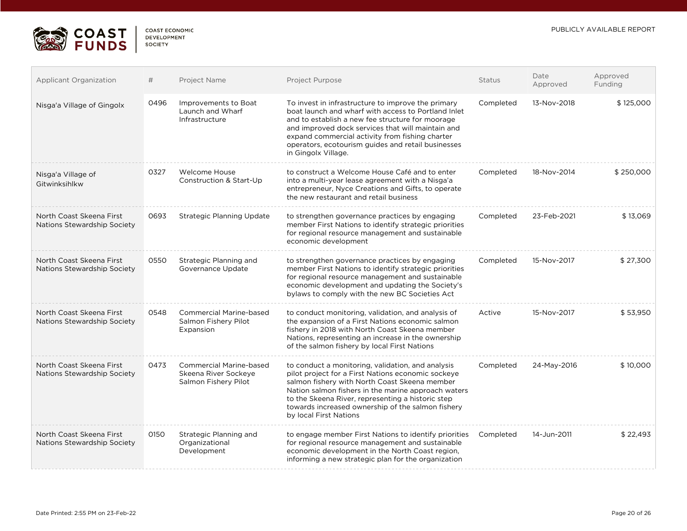

| COAST FCONOMIC |  |
|----------------|--|
| DEVELOPMENT    |  |
| <b>SOCIETY</b> |  |

| Applicant Organization                                  | #    | Project Name                                                                   | Project Purpose                                                                                                                                                                                                                                                                                                                                     | <b>Status</b> | Date<br>Approved | Approved<br>Funding |
|---------------------------------------------------------|------|--------------------------------------------------------------------------------|-----------------------------------------------------------------------------------------------------------------------------------------------------------------------------------------------------------------------------------------------------------------------------------------------------------------------------------------------------|---------------|------------------|---------------------|
| Nisga'a Village of Gingolx                              | 0496 | Improvements to Boat<br>Launch and Wharf<br>Infrastructure                     | To invest in infrastructure to improve the primary<br>boat launch and wharf with access to Portland Inlet<br>and to establish a new fee structure for moorage<br>and improved dock services that will maintain and<br>expand commercial activity from fishing charter<br>operators, ecotourism guides and retail businesses<br>in Gingolx Village.  | Completed     | 13-Nov-2018      | \$125,000           |
| Nisga'a Village of<br>Gitwinksihlkw                     | 0327 | Welcome House<br>Construction & Start-Up                                       | to construct a Welcome House Café and to enter<br>into a multi-year lease agreement with a Nisga'a<br>entrepreneur, Nyce Creations and Gifts, to operate<br>the new restaurant and retail business                                                                                                                                                  | Completed     | 18-Nov-2014      | \$250,000           |
| North Coast Skeena First<br>Nations Stewardship Society | 0693 | Strategic Planning Update                                                      | to strengthen governance practices by engaging<br>member First Nations to identify strategic priorities<br>for regional resource management and sustainable<br>economic development                                                                                                                                                                 | Completed     | 23-Feb-2021      | \$13,069            |
| North Coast Skeena First<br>Nations Stewardship Society | 0550 | Strategic Planning and<br>Governance Update                                    | to strengthen governance practices by engaging<br>member First Nations to identify strategic priorities<br>for regional resource management and sustainable<br>economic development and updating the Society's<br>bylaws to comply with the new BC Societies Act                                                                                    | Completed     | 15-Nov-2017      | \$27,300            |
| North Coast Skeena First<br>Nations Stewardship Society | 0548 | <b>Commercial Marine-based</b><br>Salmon Fishery Pilot<br>Expansion            | to conduct monitoring, validation, and analysis of<br>the expansion of a First Nations economic salmon<br>fishery in 2018 with North Coast Skeena member<br>Nations, representing an increase in the ownership<br>of the salmon fishery by local First Nations                                                                                      | Active        | 15-Nov-2017      | \$53,950            |
| North Coast Skeena First<br>Nations Stewardship Society | 0473 | <b>Commercial Marine-based</b><br>Skeena River Sockeye<br>Salmon Fishery Pilot | to conduct a monitoring, validation, and analysis<br>pilot project for a First Nations economic sockeye<br>salmon fishery with North Coast Skeena member<br>Nation salmon fishers in the marine approach waters<br>to the Skeena River, representing a historic step<br>towards increased ownership of the salmon fishery<br>by local First Nations | Completed     | 24-May-2016      | \$10,000            |
| North Coast Skeena First<br>Nations Stewardship Society | 0150 | Strategic Planning and<br>Organizational<br>Development                        | to engage member First Nations to identify priorities<br>for regional resource management and sustainable<br>economic development in the North Coast region,<br>informing a new strategic plan for the organization                                                                                                                                 | Completed     | 14-Jun-2011      | \$22,493            |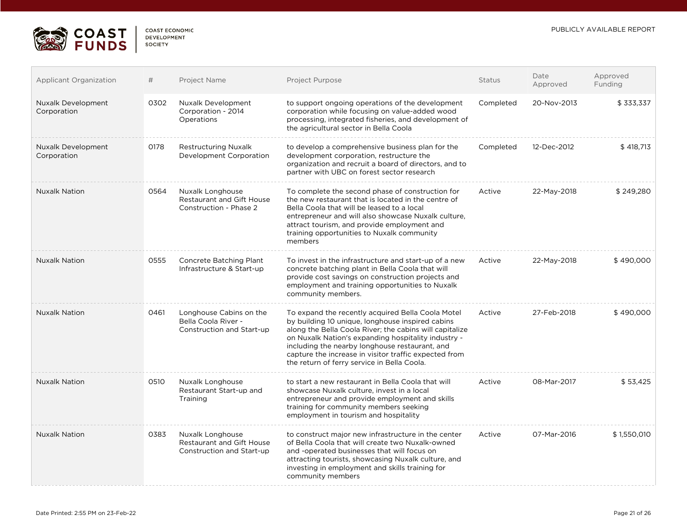

| <b>CUAST ECUNUMIC</b> |
|-----------------------|
| <b>DEVELOPMENT</b>    |
| <b>SOCIETY</b>        |
|                       |

| <b>Applicant Organization</b>            | #    | Project Name                                                                | Project Purpose                                                                                                                                                                                                                                                                                                                                                                   | <b>Status</b> | Date<br>Approved | Approved<br>Funding |
|------------------------------------------|------|-----------------------------------------------------------------------------|-----------------------------------------------------------------------------------------------------------------------------------------------------------------------------------------------------------------------------------------------------------------------------------------------------------------------------------------------------------------------------------|---------------|------------------|---------------------|
| <b>Nuxalk Development</b><br>Corporation | 0302 | Nuxalk Development<br>Corporation - 2014<br>Operations                      | to support ongoing operations of the development<br>corporation while focusing on value-added wood<br>processing, integrated fisheries, and development of<br>the agricultural sector in Bella Coola                                                                                                                                                                              | Completed     | 20-Nov-2013      | \$333,337           |
| <b>Nuxalk Development</b><br>Corporation | 0178 | <b>Restructuring Nuxalk</b><br>Development Corporation                      | to develop a comprehensive business plan for the<br>development corporation, restructure the<br>organization and recruit a board of directors, and to<br>partner with UBC on forest sector research                                                                                                                                                                               | Completed     | 12-Dec-2012      | \$418,713           |
| <b>Nuxalk Nation</b>                     | 0564 | Nuxalk Longhouse<br>Restaurant and Gift House<br>Construction - Phase 2     | To complete the second phase of construction for<br>the new restaurant that is located in the centre of<br>Bella Coola that will be leased to a local<br>entrepreneur and will also showcase Nuxalk culture,<br>attract tourism, and provide employment and<br>training opportunities to Nuxalk community<br>members                                                              | Active        | 22-May-2018      | \$249,280           |
| <b>Nuxalk Nation</b>                     | 0555 | Concrete Batching Plant<br>Infrastructure & Start-up                        | To invest in the infrastructure and start-up of a new<br>concrete batching plant in Bella Coola that will<br>provide cost savings on construction projects and<br>employment and training opportunities to Nuxalk<br>community members.                                                                                                                                           | Active        | 22-May-2018      | \$490,000           |
| <b>Nuxalk Nation</b>                     | 0461 | Longhouse Cabins on the<br>Bella Coola River -<br>Construction and Start-up | To expand the recently acquired Bella Coola Motel<br>by building 10 unique, longhouse inspired cabins<br>along the Bella Coola River; the cabins will capitalize<br>on Nuxalk Nation's expanding hospitality industry -<br>including the nearby longhouse restaurant, and<br>capture the increase in visitor traffic expected from<br>the return of ferry service in Bella Coola. | Active        | 27-Feb-2018      | \$490,000           |
| <b>Nuxalk Nation</b>                     | 0510 | Nuxalk Longhouse<br>Restaurant Start-up and<br>Training                     | to start a new restaurant in Bella Coola that will<br>showcase Nuxalk culture, invest in a local<br>entrepreneur and provide employment and skills<br>training for community members seeking<br>employment in tourism and hospitality                                                                                                                                             | Active        | 08-Mar-2017      | \$53,425            |
| <b>Nuxalk Nation</b>                     | 0383 | Nuxalk Longhouse<br>Restaurant and Gift House<br>Construction and Start-up  | to construct major new infrastructure in the center<br>of Bella Coola that will create two Nuxalk-owned<br>and -operated businesses that will focus on<br>attracting tourists, showcasing Nuxalk culture, and<br>investing in employment and skills training for<br>community members                                                                                             | Active        | 07-Mar-2016      | \$1,550,010         |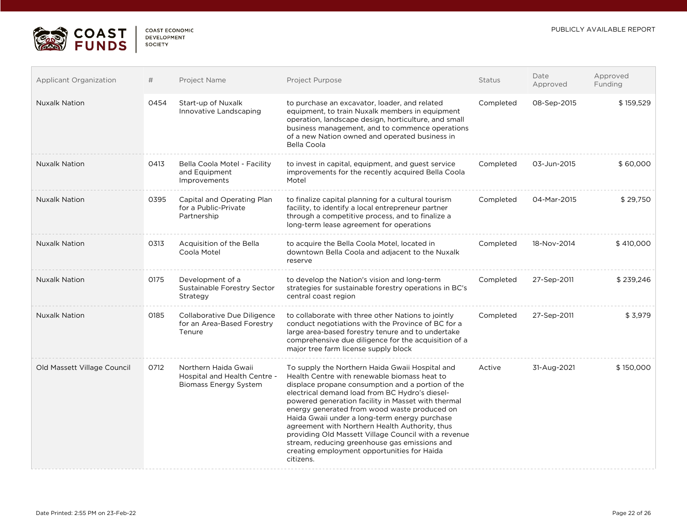

 $\mathcal{L}_{\mathcal{A}}$ 

| COAST FCONOMIC     |
|--------------------|
| <b>DEVELOPMENT</b> |
| SOCIETY            |
|                    |

| <b>Applicant Organization</b> | #    | Project Name                                                                         | Project Purpose                                                                                                                                                                                                                                                                                                                                                                                                                                                                                                                                                                      | Status    | Date<br>Approved | Approved<br>Funding |
|-------------------------------|------|--------------------------------------------------------------------------------------|--------------------------------------------------------------------------------------------------------------------------------------------------------------------------------------------------------------------------------------------------------------------------------------------------------------------------------------------------------------------------------------------------------------------------------------------------------------------------------------------------------------------------------------------------------------------------------------|-----------|------------------|---------------------|
| <b>Nuxalk Nation</b>          | 0454 | Start-up of Nuxalk<br>Innovative Landscaping                                         | to purchase an excavator, loader, and related<br>equipment, to train Nuxalk members in equipment<br>operation, landscape design, horticulture, and small<br>business management, and to commence operations<br>of a new Nation owned and operated business in<br>Bella Coola                                                                                                                                                                                                                                                                                                         | Completed | 08-Sep-2015      | \$159,529           |
| <b>Nuxalk Nation</b>          | 0413 | Bella Coola Motel - Facility<br>and Equipment<br>Improvements                        | to invest in capital, equipment, and quest service<br>improvements for the recently acquired Bella Coola<br>Motel                                                                                                                                                                                                                                                                                                                                                                                                                                                                    | Completed | 03-Jun-2015      | \$60,000            |
| <b>Nuxalk Nation</b>          | 0395 | Capital and Operating Plan<br>for a Public-Private<br>Partnership                    | to finalize capital planning for a cultural tourism<br>facility, to identify a local entrepreneur partner<br>through a competitive process, and to finalize a<br>long-term lease agreement for operations                                                                                                                                                                                                                                                                                                                                                                            | Completed | 04-Mar-2015      | \$29,750            |
| <b>Nuxalk Nation</b>          | 0313 | Acquisition of the Bella<br>Coola Motel                                              | to acquire the Bella Coola Motel, located in<br>downtown Bella Coola and adjacent to the Nuxalk<br>reserve                                                                                                                                                                                                                                                                                                                                                                                                                                                                           | Completed | 18-Nov-2014      | \$410,000           |
| <b>Nuxalk Nation</b>          | 0175 | Development of a<br>Sustainable Forestry Sector<br>Strategy                          | to develop the Nation's vision and long-term<br>strategies for sustainable forestry operations in BC's<br>central coast region                                                                                                                                                                                                                                                                                                                                                                                                                                                       | Completed | 27-Sep-2011      | \$239,246           |
| <b>Nuxalk Nation</b>          | 0185 | Collaborative Due Diligence<br>for an Area-Based Forestry<br>Tenure                  | to collaborate with three other Nations to jointly<br>conduct negotiations with the Province of BC for a<br>large area-based forestry tenure and to undertake<br>comprehensive due diligence for the acquisition of a<br>major tree farm license supply block                                                                                                                                                                                                                                                                                                                        | Completed | 27-Sep-2011      | \$3,979             |
| Old Massett Village Council   | 0712 | Northern Haida Gwaii<br>Hospital and Health Centre -<br><b>Biomass Energy System</b> | To supply the Northern Haida Gwaii Hospital and<br>Health Centre with renewable biomass heat to<br>displace propane consumption and a portion of the<br>electrical demand load from BC Hydro's diesel-<br>powered generation facility in Masset with thermal<br>energy generated from wood waste produced on<br>Haida Gwaii under a long-term energy purchase<br>agreement with Northern Health Authority, thus<br>providing Old Massett Village Council with a revenue<br>stream, reducing greenhouse gas emissions and<br>creating employment opportunities for Haida<br>citizens. | Active    | 31-Aug-2021      | \$150,000           |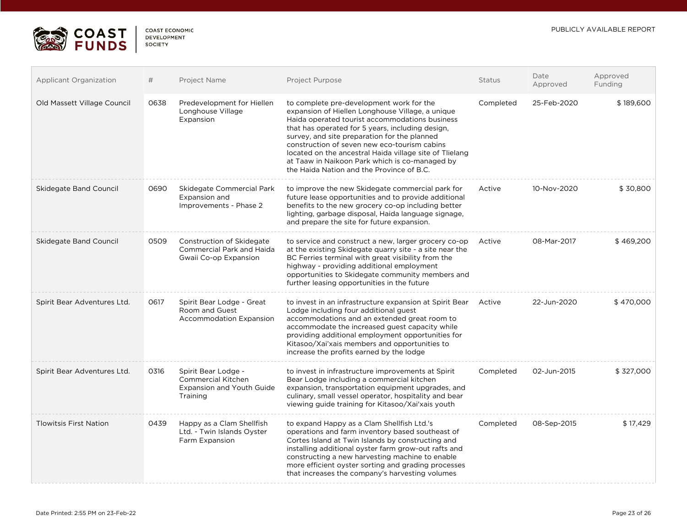

| <b>COAST ECONOMIC</b> |
|-----------------------|
| <b>DEVELOPMENT</b>    |
| <b>SOCIETY</b>        |

| <b>Applicant Organization</b> | #    | Project Name                                                                                     | Project Purpose                                                                                                                                                                                                                                                                                                                                                                                                                                              | Status    | Date<br>Approved | Approved<br>Funding |
|-------------------------------|------|--------------------------------------------------------------------------------------------------|--------------------------------------------------------------------------------------------------------------------------------------------------------------------------------------------------------------------------------------------------------------------------------------------------------------------------------------------------------------------------------------------------------------------------------------------------------------|-----------|------------------|---------------------|
| Old Massett Village Council   | 0638 | Predevelopment for Hiellen<br>Longhouse Village<br>Expansion                                     | to complete pre-development work for the<br>expansion of Hiellen Longhouse Village, a unique<br>Haida operated tourist accommodations business<br>that has operated for 5 years, including design,<br>survey, and site preparation for the planned<br>construction of seven new eco-tourism cabins<br>located on the ancestral Haida village site of Tlielang<br>at Taaw in Naikoon Park which is co-managed by<br>the Haida Nation and the Province of B.C. | Completed | 25-Feb-2020      | \$189,600           |
| Skidegate Band Council        | 0690 | Skidegate Commercial Park<br>Expansion and<br>Improvements - Phase 2                             | to improve the new Skidegate commercial park for<br>future lease opportunities and to provide additional<br>benefits to the new grocery co-op including better<br>lighting, garbage disposal, Haida language signage,<br>and prepare the site for future expansion.                                                                                                                                                                                          | Active    | 10-Nov-2020      | \$30,800            |
| <b>Skidegate Band Council</b> | 0509 | Construction of Skidegate<br>Commercial Park and Haida<br>Gwaii Co-op Expansion                  | to service and construct a new, larger grocery co-op<br>at the existing Skidegate quarry site - a site near the<br>BC Ferries terminal with great visibility from the<br>highway - providing additional employment<br>opportunities to Skidegate community members and<br>further leasing opportunities in the future                                                                                                                                        | Active    | 08-Mar-2017      | \$469,200           |
| Spirit Bear Adventures Ltd.   | 0617 | Spirit Bear Lodge - Great<br>Room and Guest<br><b>Accommodation Expansion</b>                    | to invest in an infrastructure expansion at Spirit Bear<br>Lodge including four additional guest<br>accommodations and an extended great room to<br>accommodate the increased guest capacity while<br>providing additional employment opportunities for<br>Kitasoo/Xai'xais members and opportunities to<br>increase the profits earned by the lodge                                                                                                         | Active    | 22-Jun-2020      | \$470,000           |
| Spirit Bear Adventures Ltd.   | 0316 | Spirit Bear Lodge -<br><b>Commercial Kitchen</b><br><b>Expansion and Youth Guide</b><br>Training | to invest in infrastructure improvements at Spirit<br>Bear Lodge including a commercial kitchen<br>expansion, transportation equipment upgrades, and<br>culinary, small vessel operator, hospitality and bear<br>viewing guide training for Kitasoo/Xai'xais youth                                                                                                                                                                                           | Completed | 02-Jun-2015      | \$327,000           |
| <b>Tlowitsis First Nation</b> | 0439 | Happy as a Clam Shellfish<br>Ltd. - Twin Islands Oyster<br>Farm Expansion                        | to expand Happy as a Clam Shellfish Ltd.'s<br>operations and farm inventory based southeast of<br>Cortes Island at Twin Islands by constructing and<br>installing additional oyster farm grow-out rafts and<br>constructing a new harvesting machine to enable<br>more efficient oyster sorting and grading processes<br>that increases the company's harvesting volumes                                                                                     | Completed | 08-Sep-2015      | \$17,429            |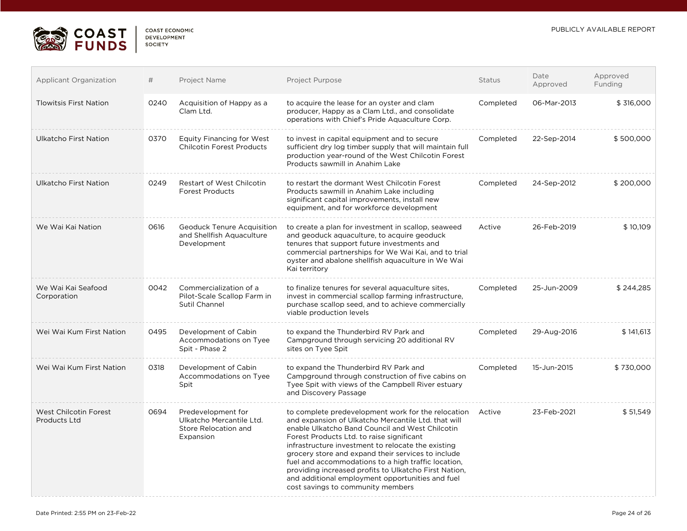

| <b>COAST ECONOMIC</b> |  |
|-----------------------|--|
| <b>DEVELOPMENT</b>    |  |
| SOCIETY               |  |

| <b>Applicant Organization</b>                | #    | Project Name                                                                        | Project Purpose                                                                                                                                                                                                                                                                                                                                                                                                                                                                                                                | Status    | Date<br>Approved | Approved<br>Funding |
|----------------------------------------------|------|-------------------------------------------------------------------------------------|--------------------------------------------------------------------------------------------------------------------------------------------------------------------------------------------------------------------------------------------------------------------------------------------------------------------------------------------------------------------------------------------------------------------------------------------------------------------------------------------------------------------------------|-----------|------------------|---------------------|
| <b>Tlowitsis First Nation</b>                | 0240 | Acquisition of Happy as a<br>Clam Ltd.                                              | to acquire the lease for an oyster and clam<br>producer, Happy as a Clam Ltd., and consolidate<br>operations with Chief's Pride Aquaculture Corp.                                                                                                                                                                                                                                                                                                                                                                              | Completed | 06-Mar-2013      | \$316,000           |
| Ulkatcho First Nation                        | 0370 | <b>Equity Financing for West</b><br><b>Chilcotin Forest Products</b>                | to invest in capital equipment and to secure<br>sufficient dry log timber supply that will maintain full<br>production year-round of the West Chilcotin Forest<br>Products sawmill in Anahim Lake                                                                                                                                                                                                                                                                                                                              | Completed | 22-Sep-2014      | \$500,000           |
| Ulkatcho First Nation                        | 0249 | <b>Restart of West Chilcotin</b><br><b>Forest Products</b>                          | to restart the dormant West Chilcotin Forest<br>Products sawmill in Anahim Lake including<br>significant capital improvements, install new<br>equipment, and for workforce development                                                                                                                                                                                                                                                                                                                                         | Completed | 24-Sep-2012      | \$200,000           |
| We Wai Kai Nation                            | 0616 | <b>Geoduck Tenure Acquisition</b><br>and Shellfish Aquaculture<br>Development       | to create a plan for investment in scallop, seaweed<br>and geoduck aquaculture, to acquire geoduck<br>tenures that support future investments and<br>commercial partnerships for We Wai Kai, and to trial<br>oyster and abalone shellfish aquaculture in We Wai<br>Kai territory                                                                                                                                                                                                                                               | Active    | 26-Feb-2019      | \$10,109            |
| We Wai Kai Seafood<br>Corporation            | 0042 | Commercialization of a<br>Pilot-Scale Scallop Farm in<br>Sutil Channel              | to finalize tenures for several aquaculture sites,<br>invest in commercial scallop farming infrastructure.<br>purchase scallop seed, and to achieve commercially<br>viable production levels                                                                                                                                                                                                                                                                                                                                   | Completed | 25-Jun-2009      | \$244,285           |
| Wei Wai Kum First Nation                     | 0495 | Development of Cabin<br>Accommodations on Tyee<br>Spit - Phase 2                    | to expand the Thunderbird RV Park and<br>Campground through servicing 20 additional RV<br>sites on Tyee Spit                                                                                                                                                                                                                                                                                                                                                                                                                   | Completed | 29-Aug-2016      | \$141,613           |
| Wei Wai Kum First Nation                     | 0318 | Development of Cabin<br>Accommodations on Tyee<br>Spit                              | to expand the Thunderbird RV Park and<br>Campground through construction of five cabins on<br>Tyee Spit with views of the Campbell River estuary<br>and Discovery Passage                                                                                                                                                                                                                                                                                                                                                      | Completed | 15-Jun-2015      | \$730,000           |
| West Chilcotin Forest<br><b>Products Ltd</b> | 0694 | Predevelopment for<br>Ulkatcho Mercantile Ltd.<br>Store Relocation and<br>Expansion | to complete predevelopment work for the relocation<br>and expansion of Ulkatcho Mercantile Ltd. that will<br>enable Ulkatcho Band Council and West Chilcotin<br>Forest Products Ltd. to raise significant<br>infrastructure investment to relocate the existing<br>grocery store and expand their services to include<br>fuel and accommodations to a high traffic location,<br>providing increased profits to Ulkatcho First Nation,<br>and additional employment opportunities and fuel<br>cost savings to community members | Active    | 23-Feb-2021      | \$51,549            |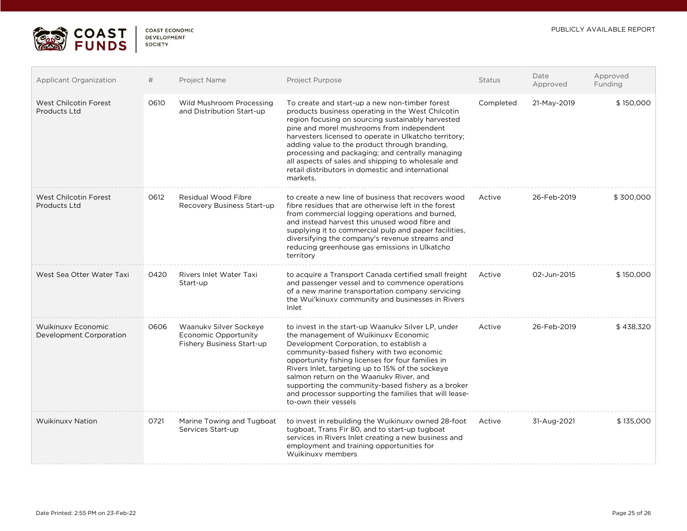

 $\overline{a}$ 

| <b>COAST ECONOMIC</b> |
|-----------------------|
| <b>DEVELOPMENT</b>    |
| <b>SOCIETY</b>        |
|                       |

| Applicant Organization                        | #    | Project Name                                                                       | Project Purpose                                                                                                                                                                                                                                                                                                                                                                                                                                                                            | Status    | Date<br>Approved | Approved<br>Funding |
|-----------------------------------------------|------|------------------------------------------------------------------------------------|--------------------------------------------------------------------------------------------------------------------------------------------------------------------------------------------------------------------------------------------------------------------------------------------------------------------------------------------------------------------------------------------------------------------------------------------------------------------------------------------|-----------|------------------|---------------------|
| West Chilcotin Forest<br><b>Products Ltd</b>  | 0610 | Wild Mushroom Processing<br>and Distribution Start-up                              | To create and start-up a new non-timber forest<br>products business operating in the West Chilcotin<br>region focusing on sourcing sustainably harvested<br>pine and morel mushrooms from independent<br>harvesters licensed to operate in Ulkatcho territory;<br>adding value to the product through branding.<br>processing and packaging; and centrally managing<br>all aspects of sales and shipping to wholesale and<br>retail distributors in domestic and international<br>markets. | Completed | 21-May-2019      | \$150,000           |
| West Chilcotin Forest<br><b>Products Ltd</b>  | 0612 | Residual Wood Fibre<br>Recovery Business Start-up                                  | to create a new line of business that recovers wood<br>fibre residues that are otherwise left in the forest<br>from commercial logging operations and burned.<br>and instead harvest this unused wood fibre and<br>supplying it to commercial pulp and paper facilities,<br>diversifying the company's revenue streams and<br>reducing greenhouse gas emissions in Ulkatcho<br>territory                                                                                                   | Active    | 26-Feb-2019      | \$300,000           |
| West Sea Otter Water Taxi                     | 0420 | Rivers Inlet Water Taxi<br>Start-up                                                | to acquire a Transport Canada certified small freight<br>and passenger vessel and to commence operations<br>of a new marine transportation company servicing<br>the Wui'kinuxv community and businesses in Rivers<br>Inlet                                                                                                                                                                                                                                                                 | Active    | 02-Jun-2015      | \$150,000           |
| Wuikinuxy Economic<br>Development Corporation | 0606 | Waanukv Silver Sockeye<br>Economic Opportunity<br><b>Fishery Business Start-up</b> | to invest in the start-up Waanuky Silver LP, under<br>the management of Wuikinuxy Economic<br>Development Corporation, to establish a<br>community-based fishery with two economic<br>opportunity fishing licenses for four families in<br>Rivers Inlet, targeting up to 15% of the sockeye<br>salmon return on the Waanuky River, and<br>supporting the community-based fishery as a broker<br>and processor supporting the families that will lease-<br>to-own their vessels             | Active    | 26-Feb-2019      | \$438,320           |
| <b>Wuikinuxy Nation</b>                       | 0721 | Marine Towing and Tugboat<br>Services Start-up                                     | to invest in rebuilding the Wuikinuxy owned 28-foot<br>tugboat, Trans Fir 80, and to start-up tugboat<br>services in Rivers Inlet creating a new business and<br>employment and training opportunities for<br>Wuikinuxy members                                                                                                                                                                                                                                                            | Active    | 31-Aug-2021      | \$135,000           |